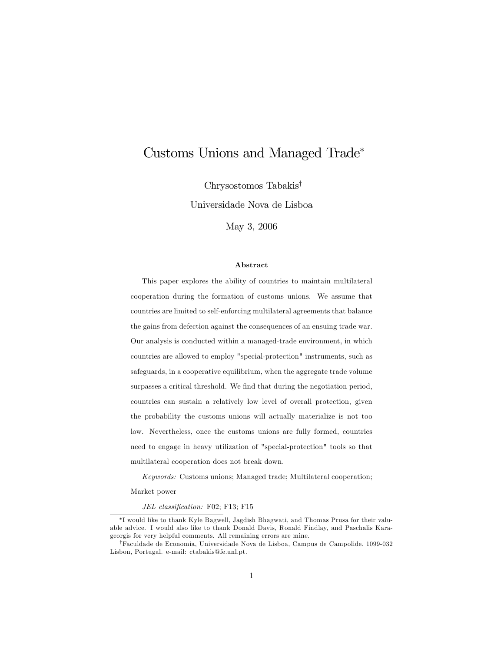# Customs Unions and Managed Trade

 $Chrysostomos Tabakis<sup>†</sup>$ 

Universidade Nova de Lisboa

May 3, 2006

#### Abstract

This paper explores the ability of countries to maintain multilateral cooperation during the formation of customs unions. We assume that countries are limited to self-enforcing multilateral agreements that balance the gains from defection against the consequences of an ensuing trade war. Our analysis is conducted within a managed-trade environment, in which countries are allowed to employ "special-protection" instruments, such as safeguards, in a cooperative equilibrium, when the aggregate trade volume surpasses a critical threshold. We find that during the negotiation period, countries can sustain a relatively low level of overall protection, given the probability the customs unions will actually materialize is not too low. Nevertheless, once the customs unions are fully formed, countries need to engage in heavy utilization of "special-protection" tools so that multilateral cooperation does not break down.

Keywords: Customs unions; Managed trade; Multilateral cooperation;

Market power

JEL classification: F02; F13; F15

I would like to thank Kyle Bagwell, Jagdish Bhagwati, and Thomas Prusa for their valuable advice. I would also like to thank Donald Davis, Ronald Findlay, and Paschalis Karageorgis for very helpful comments. All remaining errors are mine.

<sup>&</sup>lt;sup>†</sup>Faculdade de Economia, Universidade Nova de Lisboa, Campus de Campolide, 1099-032 Lisbon, Portugal. e-mail: ctabakis@fe.unl.pt.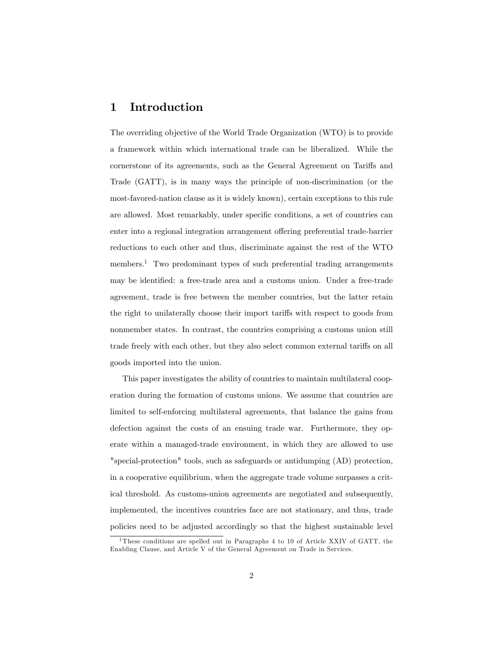## 1 Introduction

The overriding objective of the World Trade Organization (WTO) is to provide a framework within which international trade can be liberalized. While the cornerstone of its agreements, such as the General Agreement on Tariffs and Trade (GATT), is in many ways the principle of non-discrimination (or the most-favored-nation clause as it is widely known), certain exceptions to this rule are allowed. Most remarkably, under specific conditions, a set of countries can enter into a regional integration arrangement offering preferential trade-barrier reductions to each other and thus, discriminate against the rest of the WTO members.<sup>1</sup> Two predominant types of such preferential trading arrangements may be identified: a free-trade area and a customs union. Under a free-trade agreement, trade is free between the member countries, but the latter retain the right to unilaterally choose their import tariffs with respect to goods from nonmember states. In contrast, the countries comprising a customs union still trade freely with each other, but they also select common external tariffs on all goods imported into the union.

This paper investigates the ability of countries to maintain multilateral cooperation during the formation of customs unions. We assume that countries are limited to self-enforcing multilateral agreements, that balance the gains from defection against the costs of an ensuing trade war. Furthermore, they operate within a managed-trade environment, in which they are allowed to use "special-protection" tools, such as safeguards or antidumping (AD) protection, in a cooperative equilibrium, when the aggregate trade volume surpasses a critical threshold. As customs-union agreements are negotiated and subsequently, implemented, the incentives countries face are not stationary, and thus, trade policies need to be adjusted accordingly so that the highest sustainable level

<sup>1</sup> These conditions are spelled out in Paragraphs 4 to 10 of Article XXIV of GATT, the Enabling Clause, and Article V of the General Agreement on Trade in Services.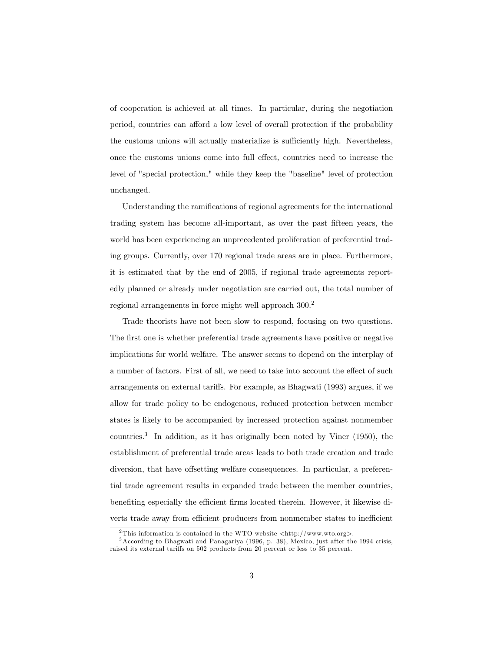of cooperation is achieved at all times. In particular, during the negotiation period, countries can afford a low level of overall protection if the probability the customs unions will actually materialize is sufficiently high. Nevertheless, once the customs unions come into full effect, countries need to increase the level of "special protection," while they keep the "baseline" level of protection unchanged.

Understanding the ramifications of regional agreements for the international trading system has become all-important, as over the past Öfteen years, the world has been experiencing an unprecedented proliferation of preferential trading groups. Currently, over 170 regional trade areas are in place. Furthermore, it is estimated that by the end of 2005, if regional trade agreements reportedly planned or already under negotiation are carried out, the total number of regional arrangements in force might well approach  $300<sup>2</sup>$ 

Trade theorists have not been slow to respond, focusing on two questions. The first one is whether preferential trade agreements have positive or negative implications for world welfare. The answer seems to depend on the interplay of a number of factors. First of all, we need to take into account the effect of such arrangements on external tariffs. For example, as Bhagwati (1993) argues, if we allow for trade policy to be endogenous, reduced protection between member states is likely to be accompanied by increased protection against nonmember countries.<sup>3</sup> In addition, as it has originally been noted by Viner  $(1950)$ , the establishment of preferential trade areas leads to both trade creation and trade diversion, that have offsetting welfare consequences. In particular, a preferential trade agreement results in expanded trade between the member countries, benefiting especially the efficient firms located therein. However, it likewise diverts trade away from efficient producers from nonmember states to inefficient

<sup>&</sup>lt;sup>2</sup>This information is contained in the WTO website  $\langle$ http://www.wto.org>.

<sup>3</sup>According to Bhagwati and Panagariya (1996, p. 38), Mexico, just after the 1994 crisis, raised its external tariffs on 502 products from 20 percent or less to 35 percent.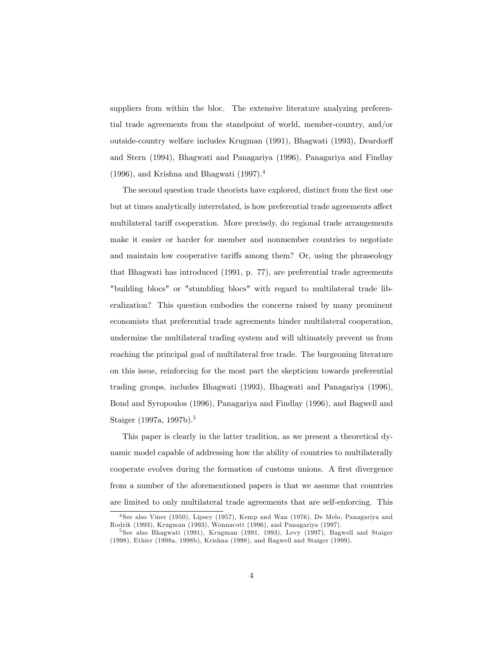suppliers from within the bloc. The extensive literature analyzing preferential trade agreements from the standpoint of world, member-country, and/or outside-country welfare includes Krugman (1991), Bhagwati (1993), Deardorff and Stern (1994), Bhagwati and Panagariya (1996), Panagariya and Findlay  $(1996)$ , and Krishna and Bhagwati  $(1997).<sup>4</sup>$ 

The second question trade theorists have explored, distinct from the first one but at times analytically interrelated, is how preferential trade agreements affect multilateral tariff cooperation. More precisely, do regional trade arrangements make it easier or harder for member and nonmember countries to negotiate and maintain low cooperative tariffs among them? Or, using the phraseology that Bhagwati has introduced (1991, p. 77), are preferential trade agreements "building blocs" or "stumbling blocs" with regard to multilateral trade liberalization? This question embodies the concerns raised by many prominent economists that preferential trade agreements hinder multilateral cooperation, undermine the multilateral trading system and will ultimately prevent us from reaching the principal goal of multilateral free trade. The burgeoning literature on this issue, reinforcing for the most part the skepticism towards preferential trading groups, includes Bhagwati (1993), Bhagwati and Panagariya (1996), Bond and Syropoulos (1996), Panagariya and Findlay (1996), and Bagwell and Staiger (1997a, 1997b).<sup>5</sup>

This paper is clearly in the latter tradition, as we present a theoretical dynamic model capable of addressing how the ability of countries to multilaterally cooperate evolves during the formation of customs unions. A first divergence from a number of the aforementioned papers is that we assume that countries are limited to only multilateral trade agreements that are self-enforcing. This

<sup>4</sup> See also Viner (1950), Lipsey (1957), Kemp and Wan (1976), De Melo, Panagariya and Rodrik (1993), Krugman (1993), Wonnacott (1996), and Panagariya (1997).

<sup>5</sup> See also Bhagwati (1991), Krugman (1991, 1993), Levy (1997), Bagwell and Staiger (1998), Ethier (1998a, 1998b), Krishna (1998), and Bagwell and Staiger (1999).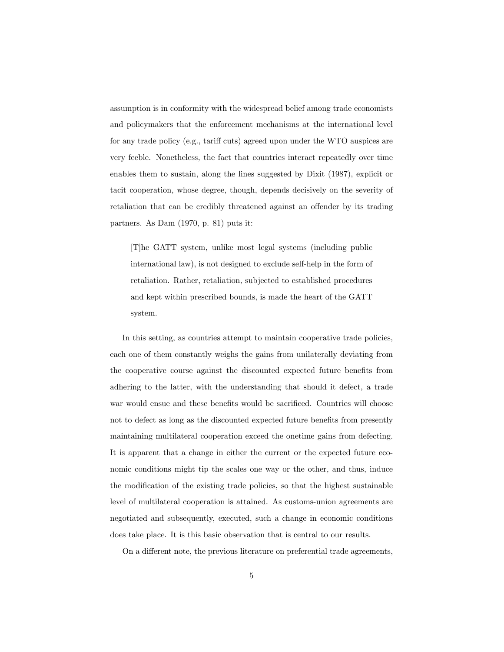assumption is in conformity with the widespread belief among trade economists and policymakers that the enforcement mechanisms at the international level for any trade policy (e.g., tariff cuts) agreed upon under the WTO auspices are very feeble. Nonetheless, the fact that countries interact repeatedly over time enables them to sustain, along the lines suggested by Dixit (1987), explicit or tacit cooperation, whose degree, though, depends decisively on the severity of retaliation that can be credibly threatened against an offender by its trading partners. As Dam (1970, p. 81) puts it:

[T]he GATT system, unlike most legal systems (including public international law), is not designed to exclude self-help in the form of retaliation. Rather, retaliation, subjected to established procedures and kept within prescribed bounds, is made the heart of the GATT system.

In this setting, as countries attempt to maintain cooperative trade policies, each one of them constantly weighs the gains from unilaterally deviating from the cooperative course against the discounted expected future benefits from adhering to the latter, with the understanding that should it defect, a trade war would ensue and these benefits would be sacrificed. Countries will choose not to defect as long as the discounted expected future benefits from presently maintaining multilateral cooperation exceed the onetime gains from defecting. It is apparent that a change in either the current or the expected future economic conditions might tip the scales one way or the other, and thus, induce the modification of the existing trade policies, so that the highest sustainable level of multilateral cooperation is attained. As customs-union agreements are negotiated and subsequently, executed, such a change in economic conditions does take place. It is this basic observation that is central to our results.

On a different note, the previous literature on preferential trade agreements,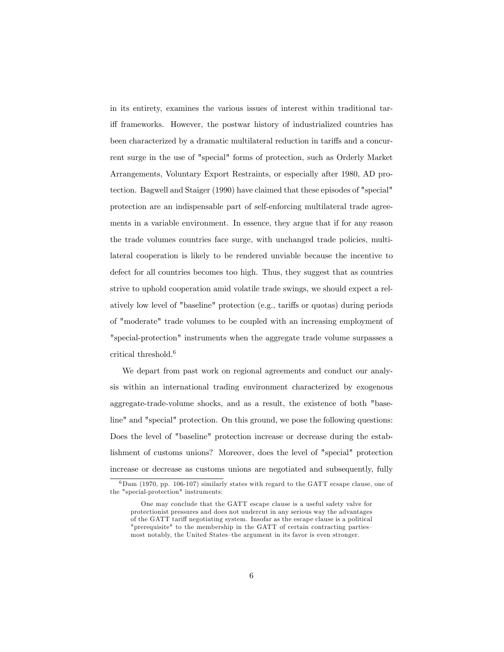in its entirety, examines the various issues of interest within traditional tariff frameworks. However, the postwar history of industrialized countries has been characterized by a dramatic multilateral reduction in tariffs and a concurrent surge in the use of "special" forms of protection, such as Orderly Market Arrangements, Voluntary Export Restraints, or especially after 1980, AD protection. Bagwell and Staiger (1990) have claimed that these episodes of "special" protection are an indispensable part of self-enforcing multilateral trade agreements in a variable environment. In essence, they argue that if for any reason the trade volumes countries face surge, with unchanged trade policies, multilateral cooperation is likely to be rendered unviable because the incentive to defect for all countries becomes too high. Thus, they suggest that as countries strive to uphold cooperation amid volatile trade swings, we should expect a relatively low level of "baseline" protection (e.g., tariffs or quotas) during periods of "moderate" trade volumes to be coupled with an increasing employment of "special-protection" instruments when the aggregate trade volume surpasses a critical threshold.<sup>6</sup>

We depart from past work on regional agreements and conduct our analysis within an international trading environment characterized by exogenous aggregate-trade-volume shocks, and as a result, the existence of both "baseline" and "special" protection. On this ground, we pose the following questions: Does the level of "baseline" protection increase or decrease during the establishment of customs unions? Moreover, does the level of "special" protection increase or decrease as customs unions are negotiated and subsequently, fully

 $6$ Dam (1970, pp. 106-107) similarly states with regard to the GATT ecsape clause, one of the "special-protection" instruments:

One may conclude that the GATT escape clause is a useful safety valve for protectionist pressures and does not undercut in any serious way the advantages of the GATT tariff negotiating system. Insofar as the escape clause is a political "prerequisite" to the membership in the GATT of certain contracting partiesmost notably, the United States-the argument in its favor is even stronger.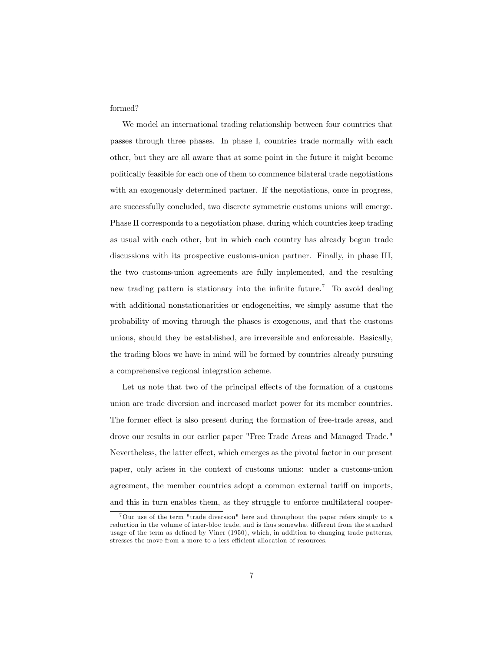formed?

We model an international trading relationship between four countries that passes through three phases. In phase I, countries trade normally with each other, but they are all aware that at some point in the future it might become politically feasible for each one of them to commence bilateral trade negotiations with an exogenously determined partner. If the negotiations, once in progress, are successfully concluded, two discrete symmetric customs unions will emerge. Phase II corresponds to a negotiation phase, during which countries keep trading as usual with each other, but in which each country has already begun trade discussions with its prospective customs-union partner. Finally, in phase III, the two customs-union agreements are fully implemented, and the resulting new trading pattern is stationary into the infinite future.<sup>7</sup> To avoid dealing with additional nonstationarities or endogeneities, we simply assume that the probability of moving through the phases is exogenous, and that the customs unions, should they be established, are irreversible and enforceable. Basically, the trading blocs we have in mind will be formed by countries already pursuing a comprehensive regional integration scheme.

Let us note that two of the principal effects of the formation of a customs union are trade diversion and increased market power for its member countries. The former effect is also present during the formation of free-trade areas, and drove our results in our earlier paper "Free Trade Areas and Managed Trade." Nevertheless, the latter effect, which emerges as the pivotal factor in our present paper, only arises in the context of customs unions: under a customs-union agreement, the member countries adopt a common external tariff on imports, and this in turn enables them, as they struggle to enforce multilateral cooper-

<sup>7</sup>Our use of the term "trade diversion" here and throughout the paper refers simply to a reduction in the volume of inter-bloc trade, and is thus somewhat different from the standard usage of the term as defined by Viner  $(1950)$ , which, in addition to changing trade patterns, stresses the move from a more to a less efficient allocation of resources.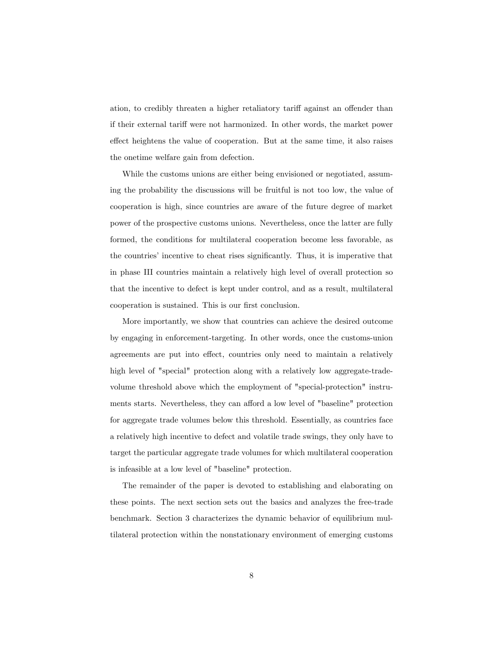ation, to credibly threaten a higher retaliatory tariff against an offender than if their external tariff were not harmonized. In other words, the market power effect heightens the value of cooperation. But at the same time, it also raises the onetime welfare gain from defection.

While the customs unions are either being envisioned or negotiated, assuming the probability the discussions will be fruitful is not too low, the value of cooperation is high, since countries are aware of the future degree of market power of the prospective customs unions. Nevertheless, once the latter are fully formed, the conditions for multilateral cooperation become less favorable, as the countries' incentive to cheat rises significantly. Thus, it is imperative that in phase III countries maintain a relatively high level of overall protection so that the incentive to defect is kept under control, and as a result, multilateral cooperation is sustained. This is our first conclusion.

More importantly, we show that countries can achieve the desired outcome by engaging in enforcement-targeting. In other words, once the customs-union agreements are put into effect, countries only need to maintain a relatively high level of "special" protection along with a relatively low aggregate-tradevolume threshold above which the employment of "special-protection" instruments starts. Nevertheless, they can afford a low level of "baseline" protection for aggregate trade volumes below this threshold. Essentially, as countries face a relatively high incentive to defect and volatile trade swings, they only have to target the particular aggregate trade volumes for which multilateral cooperation is infeasible at a low level of "baseline" protection.

The remainder of the paper is devoted to establishing and elaborating on these points. The next section sets out the basics and analyzes the free-trade benchmark. Section 3 characterizes the dynamic behavior of equilibrium multilateral protection within the nonstationary environment of emerging customs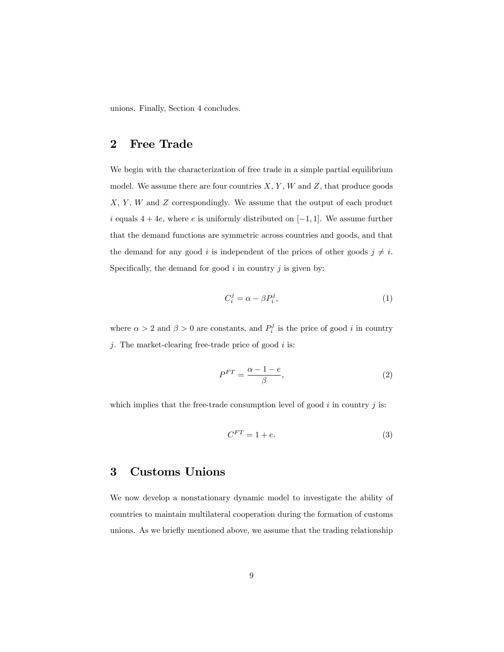unions. Finally, Section 4 concludes.

## 2 Free Trade

We begin with the characterization of free trade in a simple partial equilibrium model. We assume there are four countries  $X, Y, W$  and  $Z$ , that produce goods  $X, Y, W$  and  $Z$  correspondingly. We assume that the output of each product i equals  $4 + 4e$ , where e is uniformly distributed on  $[-1, 1]$ . We assume further that the demand functions are symmetric across countries and goods, and that the demand for any good i is independent of the prices of other goods  $j \neq i$ . Specifically, the demand for good  $i$  in country  $j$  is given by:

$$
C_i^j = \alpha - \beta P_i^j,\tag{1}
$$

where  $\alpha > 2$  and  $\beta > 0$  are constants, and  $P_i^j$  is the price of good i in country j. The market-clearing free-trade price of good  $i$  is:

$$
P^{FT} = \frac{\alpha - 1 - e}{\beta},\tag{2}
$$

which implies that the free-trade consumption level of good  $i$  in country  $j$  is:

$$
C^{FT} = 1 + e.\t\t(3)
$$

## 3 Customs Unions

We now develop a nonstationary dynamic model to investigate the ability of countries to maintain multilateral cooperation during the formation of customs unions. As we briefly mentioned above, we assume that the trading relationship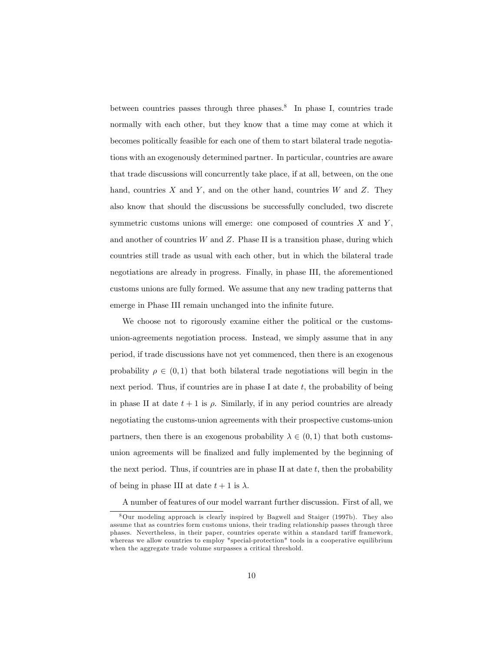between countries passes through three phases.<sup>8</sup> In phase I, countries trade normally with each other, but they know that a time may come at which it becomes politically feasible for each one of them to start bilateral trade negotiations with an exogenously determined partner. In particular, countries are aware that trade discussions will concurrently take place, if at all, between, on the one hand, countries  $X$  and  $Y$ , and on the other hand, countries  $W$  and  $Z$ . They also know that should the discussions be successfully concluded, two discrete symmetric customs unions will emerge: one composed of countries  $X$  and  $Y$ , and another of countries  $W$  and  $Z$ . Phase II is a transition phase, during which countries still trade as usual with each other, but in which the bilateral trade negotiations are already in progress. Finally, in phase III, the aforementioned customs unions are fully formed. We assume that any new trading patterns that emerge in Phase III remain unchanged into the infinite future.

We choose not to rigorously examine either the political or the customsunion-agreements negotiation process. Instead, we simply assume that in any period, if trade discussions have not yet commenced, then there is an exogenous probability  $\rho \in (0,1)$  that both bilateral trade negotiations will begin in the next period. Thus, if countries are in phase I at date  $t$ , the probability of being in phase II at date  $t + 1$  is  $\rho$ . Similarly, if in any period countries are already negotiating the customs-union agreements with their prospective customs-union partners, then there is an exogenous probability  $\lambda \in (0,1)$  that both customsunion agreements will be finalized and fully implemented by the beginning of the next period. Thus, if countries are in phase II at date  $t$ , then the probability of being in phase III at date  $t + 1$  is  $\lambda$ .

A number of features of our model warrant further discussion. First of all, we

<sup>8</sup>Our modeling approach is clearly inspired by Bagwell and Staiger (1997b). They also assume that as countries form customs unions, their trading relationship passes through three phases. Nevertheless, in their paper, countries operate within a standard tariff framework, whereas we allow countries to employ "special-protection" tools in a cooperative equilibrium when the aggregate trade volume surpasses a critical threshold.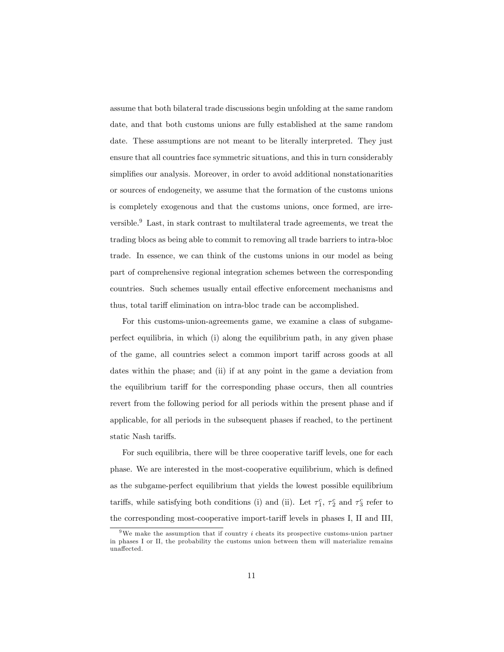assume that both bilateral trade discussions begin unfolding at the same random date, and that both customs unions are fully established at the same random date. These assumptions are not meant to be literally interpreted. They just ensure that all countries face symmetric situations, and this in turn considerably simplifies our analysis. Moreover, in order to avoid additional nonstationarities or sources of endogeneity, we assume that the formation of the customs unions is completely exogenous and that the customs unions, once formed, are irreversible.<sup>9</sup> Last, in stark contrast to multilateral trade agreements, we treat the trading blocs as being able to commit to removing all trade barriers to intra-bloc trade. In essence, we can think of the customs unions in our model as being part of comprehensive regional integration schemes between the corresponding countries. Such schemes usually entail effective enforcement mechanisms and thus, total tariff elimination on intra-bloc trade can be accomplished.

For this customs-union-agreements game, we examine a class of subgameperfect equilibria, in which (i) along the equilibrium path, in any given phase of the game, all countries select a common import tariff across goods at all dates within the phase; and (ii) if at any point in the game a deviation from the equilibrium tariff for the corresponding phase occurs, then all countries revert from the following period for all periods within the present phase and if applicable, for all periods in the subsequent phases if reached, to the pertinent static Nash tariffs.

For such equilibria, there will be three cooperative tariff levels, one for each phase. We are interested in the most-cooperative equilibrium, which is defined as the subgame-perfect equilibrium that yields the lowest possible equilibrium tariffs, while satisfying both conditions (i) and (ii). Let  $\tau_1^c$ ,  $\tau_2^c$  and  $\tau_3^c$  refer to the corresponding most-cooperative import-tariff levels in phases I, II and III,

<sup>&</sup>lt;sup>9</sup>We make the assumption that if country  $i$  cheats its prospective customs-union partner in phases I or II, the probability the customs union between them will materialize remains unaffected.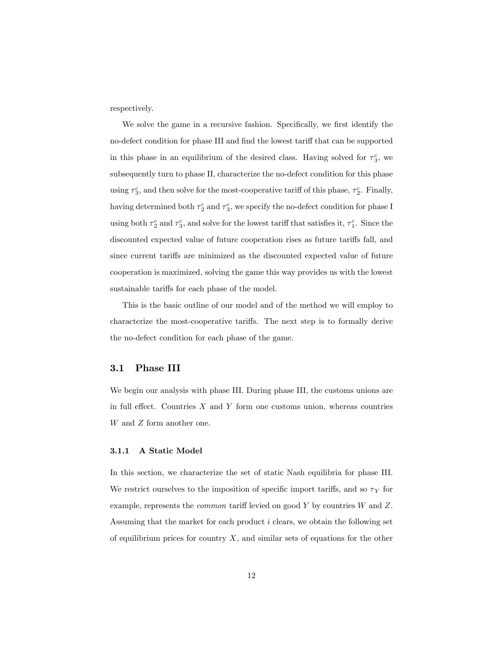respectively.

We solve the game in a recursive fashion. Specifically, we first identify the no-defect condition for phase III and find the lowest tariff that can be supported in this phase in an equilibrium of the desired class. Having solved for  $\tau_3^c$ , we subsequently turn to phase II, characterize the no-defect condition for this phase using  $\tau_3^c$ , and then solve for the most-cooperative tariff of this phase,  $\tau_2^c$ . Finally, having determined both  $\tau_2^c$  and  $\tau_3^c$ , we specify the no-defect condition for phase I using both  $\tau_2^c$  and  $\tau_3^c$ , and solve for the lowest tariff that satisfies it,  $\tau_1^c$ . Since the discounted expected value of future cooperation rises as future tariffs fall, and since current tariffs are minimized as the discounted expected value of future cooperation is maximized, solving the game this way provides us with the lowest sustainable tariffs for each phase of the model.

This is the basic outline of our model and of the method we will employ to characterize the most-cooperative tariffs. The next step is to formally derive the no-defect condition for each phase of the game.

### 3.1 Phase III

We begin our analysis with phase III. During phase III, the customs unions are in full effect. Countries  $X$  and  $Y$  form one customs union, whereas countries W and Z form another one.

#### 3.1.1 A Static Model

In this section, we characterize the set of static Nash equilibria for phase III. We restrict ourselves to the imposition of specific import tariffs, and so  $\tau_Y$  for example, represents the *common* tariff levied on good Y by countries W and Z. Assuming that the market for each product i clears, we obtain the following set of equilibrium prices for country  $X$ , and similar sets of equations for the other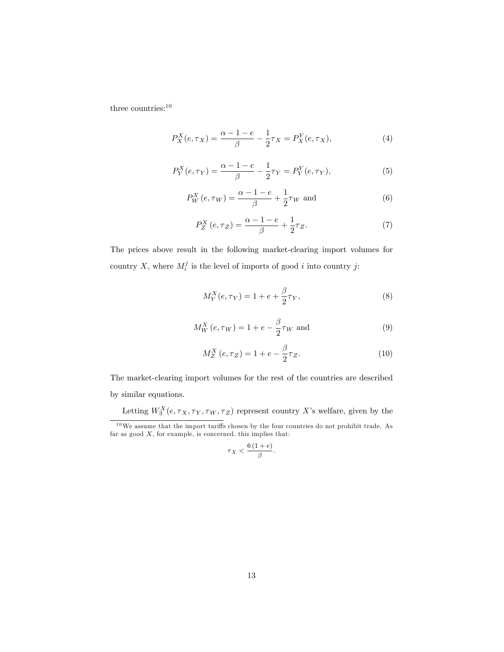three countries:<br> $\!10}$ 

$$
P_X^X(e, \tau_X) = \frac{\alpha - 1 - e}{\beta} - \frac{1}{2}\tau_X = P_X^Y(e, \tau_X),
$$
\n(4)

$$
P_Y^X(e, \tau_Y) = \frac{\alpha - 1 - e}{\beta} - \frac{1}{2}\tau_Y = P_Y^Y(e, \tau_Y),
$$
\n(5)

$$
P_W^X(e, \tau_W) = \frac{\alpha - 1 - e}{\beta} + \frac{1}{2}\tau_W \text{ and}
$$
 (6)

$$
P_Z^X\left(e,\tau_Z\right) = \frac{\alpha - 1 - e}{\beta} + \frac{1}{2}\tau_Z. \tag{7}
$$

The prices above result in the following market-clearing import volumes for country X, where  $M_i^j$  is the level of imports of good i into country j:

$$
M_Y^X(e, \tau_Y) = 1 + e + \frac{\beta}{2} \tau_Y,
$$
\n(8)

$$
M_W^X(e, \tau_W) = 1 + e - \frac{\beta}{2} \tau_W \text{ and}
$$
\n<sup>(9)</sup>

$$
M_Z^X(e, \tau_Z) = 1 + e - \frac{\beta}{2} \tau_Z.
$$
 (10)

The market-clearing import volumes for the rest of the countries are described by similar equations.

Letting  $W_3^X(e, \tau_X, \tau_Y, \tau_W, \tau_Z)$  represent country X's welfare, given by the

$$
\tau_X < \frac{6\,(1+e)}{\beta}.
$$

 $10\,\text{We assume that the import tariffs chosen by the four countries do not prohibit trade. As}$ far as good  $X$ , for example, is concerned, this implies that: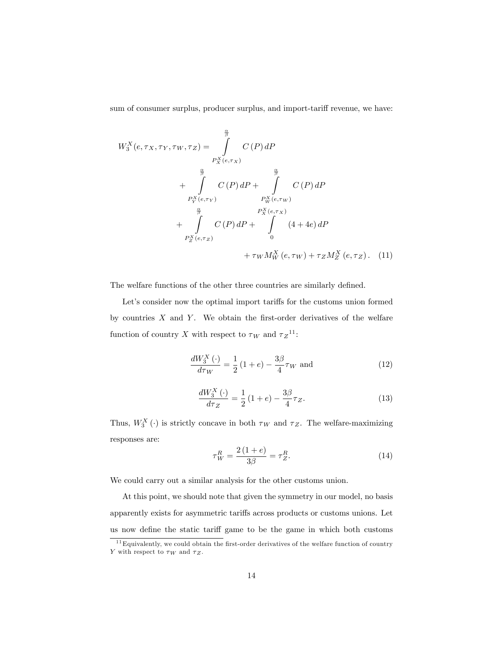sum of consumer surplus, producer surplus, and import-tariff revenue, we have:

$$
W_3^X(e, \tau_X, \tau_Y, \tau_W, \tau_Z) = \int_{P_X^X(e, \tau_X)}^{\frac{\alpha}{\beta}} C(P) dP
$$
  
+ 
$$
\int_{P_Y^X(e, \tau_Y)}^{\frac{\alpha}{\beta}} C(P) dP + \int_{P_W^X(e, \tau_W)}^{\frac{\alpha}{\beta}} C(P) dP
$$
  
+ 
$$
\int_{P_Z^X(e, \tau_Z)}^{\frac{\alpha}{\beta}} C(P) dP + \int_{P_X^X(e, \tau_X)}^{\frac{\alpha}{\beta}} (4 + 4e) dP
$$
  
+ 
$$
\tau_W M_W^X(e, \tau_W) + \tau_Z M_Z^X(e, \tau_Z).
$$
 (11)

The welfare functions of the other three countries are similarly defined.

Let's consider now the optimal import tariffs for the customs union formed by countries  $X$  and  $Y$ . We obtain the first-order derivatives of the welfare function of country X with respect to  $\tau_W$  and  $\tau_Z^{-11}$ :

$$
\frac{dW_3^X(\cdot)}{d\tau_W} = \frac{1}{2} (1 + e) - \frac{3\beta}{4} \tau_W \text{ and}
$$
 (12)

$$
\frac{dW_3^X(\cdot)}{d\tau_Z} = \frac{1}{2} \left( 1 + e \right) - \frac{3\beta}{4} \tau_Z. \tag{13}
$$

Thus,  $W_3^X(\cdot)$  is strictly concave in both  $\tau_W$  and  $\tau_Z$ . The welfare-maximizing responses are:

$$
\tau_W^R = \frac{2(1+e)}{3\beta} = \tau_Z^R.
$$
\n(14)

We could carry out a similar analysis for the other customs union.

At this point, we should note that given the symmetry in our model, no basis apparently exists for asymmetric tari§s across products or customs unions. Let us now define the static tariff game to be the game in which both customs

 $11$  Equivalently, we could obtain the first-order derivatives of the welfare function of country Y with respect to  $\tau_W$  and  $\tau_Z$ .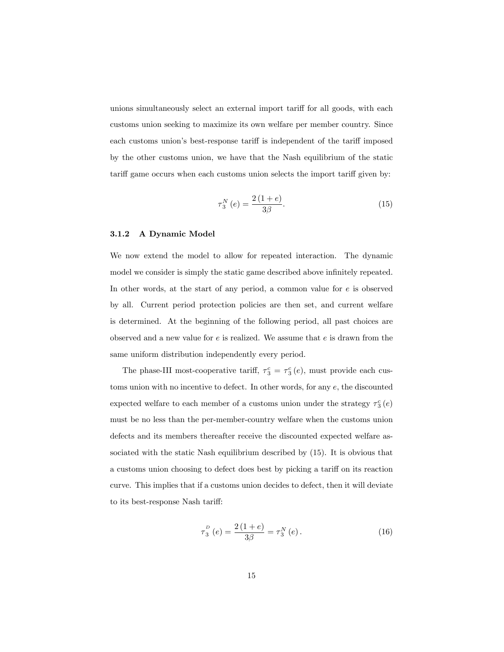unions simultaneously select an external import tariff for all goods, with each customs union seeking to maximize its own welfare per member country. Since each customs union's best-response tariff is independent of the tariff imposed by the other customs union, we have that the Nash equilibrium of the static tariff game occurs when each customs union selects the import tariff given by:

$$
\tau_3^N(e) = \frac{2(1+e)}{3\beta}.
$$
\n(15)

#### 3.1.2 A Dynamic Model

We now extend the model to allow for repeated interaction. The dynamic model we consider is simply the static game described above infinitely repeated. In other words, at the start of any period, a common value for  $e$  is observed by all. Current period protection policies are then set, and current welfare is determined. At the beginning of the following period, all past choices are observed and a new value for  $e$  is realized. We assume that  $e$  is drawn from the same uniform distribution independently every period.

The phase-III most-cooperative tariff,  $\tau_3^c = \tau_3^c(e)$ , must provide each customs union with no incentive to defect. In other words, for any e, the discounted expected welfare to each member of a customs union under the strategy  $\tau^c_3\left(e\right)$ must be no less than the per-member-country welfare when the customs union defects and its members thereafter receive the discounted expected welfare associated with the static Nash equilibrium described by (15). It is obvious that a customs union choosing to defect does best by picking a tariff on its reaction curve. This implies that if a customs union decides to defect, then it will deviate to its best-response Nash tariff:

$$
\tau_3^P(e) = \frac{2(1+e)}{3\beta} = \tau_3^N(e). \tag{16}
$$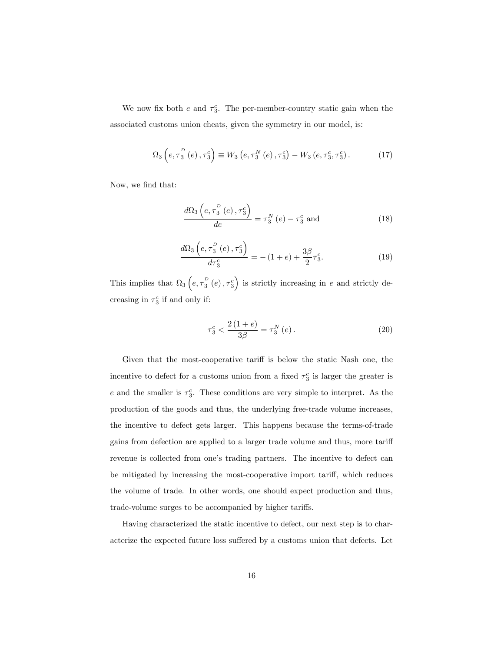We now fix both  $e$  and  $\tau_3^c$ . The per-member-country static gain when the associated customs union cheats, given the symmetry in our model, is:

$$
\Omega_3 \left( e, \tau_3^P \left( e \right), \tau_3^c \right) \equiv W_3 \left( e, \tau_3^N \left( e \right), \tau_3^c \right) - W_3 \left( e, \tau_3^c, \tau_3^c \right). \tag{17}
$$

Now, we find that:

$$
\frac{d\Omega_3\left(e, \tau_3^P\left(e\right), \tau_3^c\right)}{de} = \tau_3^N\left(e\right) - \tau_3^c \text{ and } \tag{18}
$$

$$
\frac{d\Omega_3\left(e, \tau_3^P\left(e\right), \tau_3^c\right)}{d\tau_3^c} = -(1+e) + \frac{3\beta}{2}\tau_3^c. \tag{19}
$$

This implies that  $\Omega_3\left(e, \tau_3^{\scriptscriptstyle D}(e), \tau_3^{\scriptscriptstyle C}\right)$  is strictly increasing in e and strictly decreasing in  $\tau_3^c$  if and only if:

$$
\tau_3^c < \frac{2(1+e)}{3\beta} = \tau_3^N(e). \tag{20}
$$

Given that the most-cooperative tariff is below the static Nash one, the incentive to defect for a customs union from a fixed  $\tau_3^c$  is larger the greater is e and the smaller is  $\tau_3^c$ . These conditions are very simple to interpret. As the production of the goods and thus, the underlying free-trade volume increases, the incentive to defect gets larger. This happens because the terms-of-trade gains from defection are applied to a larger trade volume and thus, more tariff revenue is collected from one's trading partners. The incentive to defect can be mitigated by increasing the most-cooperative import tariff, which reduces the volume of trade. In other words, one should expect production and thus, trade-volume surges to be accompanied by higher tariffs.

Having characterized the static incentive to defect, our next step is to characterize the expected future loss suffered by a customs union that defects. Let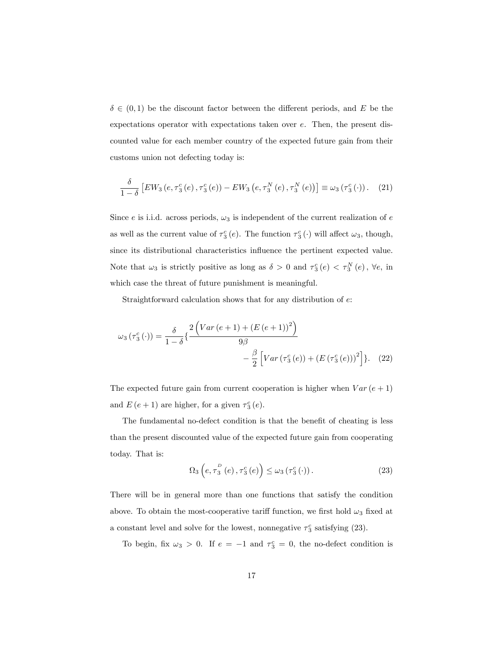$\delta \in (0,1)$  be the discount factor between the different periods, and E be the expectations operator with expectations taken over e. Then, the present discounted value for each member country of the expected future gain from their customs union not defecting today is:

$$
\frac{\delta}{1-\delta}\left[EW_3\left(e,\tau_3^c\left(e\right),\tau_3^c\left(e\right)\right)-EW_3\left(e,\tau_3^N\left(e\right),\tau_3^N\left(e\right)\right)\right]\equiv\omega_3\left(\tau_3^c\left(\cdot\right)\right). \tag{21}
$$

Since e is i.i.d. across periods,  $\omega_3$  is independent of the current realization of e as well as the current value of  $\tau_3^c(e)$ . The function  $\tau_3^c(\cdot)$  will affect  $\omega_3$ , though, since its distributional characteristics influence the pertinent expected value. Note that  $\omega_3$  is strictly positive as long as  $\delta > 0$  and  $\tau_3^c(e) < \tau_3^N(e)$ ,  $\forall e$ , in which case the threat of future punishment is meaningful.

Straightforward calculation shows that for any distribution of e:

$$
\omega_3(\tau_3^c(\cdot)) = \frac{\delta}{1-\delta} \left\{ \frac{2\left(Var\left(e+1\right) + \left(E\left(e+1\right)\right)^2\right)}{9\beta} - \frac{\beta}{2} \left[Var\left(\tau_3^c\left(e\right)\right) + \left(E\left(\tau_3^c\left(e\right)\right)\right)^2\right] \right\}.
$$
 (22)

The expected future gain from current cooperation is higher when  $Var(e + 1)$ and  $E(e + 1)$  are higher, for a given  $\tau_3^c(e)$ .

The fundamental no-defect condition is that the benefit of cheating is less than the present discounted value of the expected future gain from cooperating today. That is:

$$
\Omega_3\left(e, \tau_3^P\left(e\right), \tau_3^c\left(e\right)\right) \le \omega_3\left(\tau_3^c\left(\cdot\right)\right). \tag{23}
$$

There will be in general more than one functions that satisfy the condition above. To obtain the most-cooperative tariff function, we first hold  $\omega_3$  fixed at a constant level and solve for the lowest, nonnegative  $\tau_3^c$  satisfying (23).

To begin, fix  $\omega_3 > 0$ . If  $e = -1$  and  $\tau_3^c = 0$ , the no-defect condition is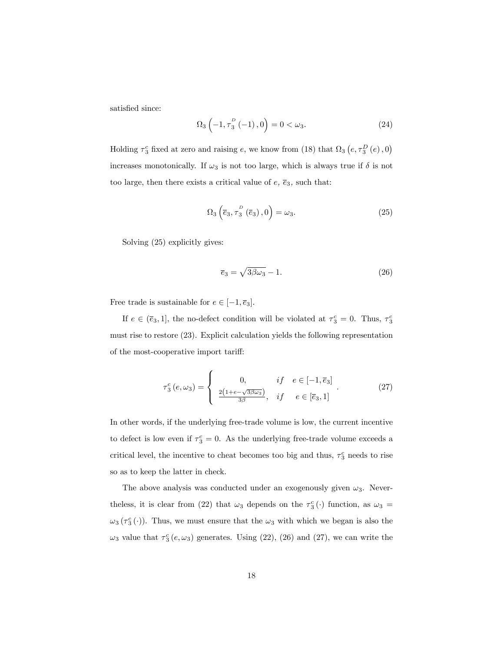satisfied since:

$$
\Omega_3 \left( -1, \tau_3^P \left( -1 \right), 0 \right) = 0 < \omega_3. \tag{24}
$$

Holding  $\tau_3^c$  fixed at zero and raising e, we know from (18) that  $\Omega_3$   $\left(e, \tau_3^D\left(e\right), 0\right)$ increases monotonically. If  $\omega_3$  is not too large, which is always true if  $\delta$  is not too large, then there exists a critical value of  $e$ ,  $\overline{e}_3$ , such that:

$$
\Omega_3\left(\overline{e}_3, \tau_3^D\left(\overline{e}_3\right), 0\right) = \omega_3. \tag{25}
$$

Solving (25) explicitly gives:

$$
\overline{e}_3 = \sqrt{3\beta\omega_3} - 1. \tag{26}
$$

Free trade is sustainable for  $e \in [-1, \overline{e}_3].$ 

If  $e \in (\bar{e}_3, 1]$ , the no-defect condition will be violated at  $\tau_3^c = 0$ . Thus,  $\tau_3^c$ must rise to restore (23). Explicit calculation yields the following representation of the most-cooperative import tariff:

$$
\tau_3^c(e,\omega_3) = \begin{cases}\n0, & if \quad e \in [-1,\overline{e}_3] \\
\frac{2(1+e-\sqrt{3\beta\omega_3})}{3\beta}, & if \quad e \in [\overline{e}_3,1]\n\end{cases}.\n\tag{27}
$$

In other words, if the underlying free-trade volume is low, the current incentive to defect is low even if  $\tau_3^c = 0$ . As the underlying free-trade volume exceeds a critical level, the incentive to cheat becomes too big and thus,  $\tau_3^c$  needs to rise so as to keep the latter in check.

The above analysis was conducted under an exogenously given  $\omega_3$ . Neverthe less, it is clear from (22) that  $\omega_3$  depends on the  $\tau_3^c(\cdot)$  function, as  $\omega_3 =$  $\omega_3(\tau_3^c(\cdot))$ . Thus, we must ensure that the  $\omega_3$  with which we began is also the  $\omega_3$  value that  $\tau_3^c$  (e,  $\omega_3$ ) generates. Using (22), (26) and (27), we can write the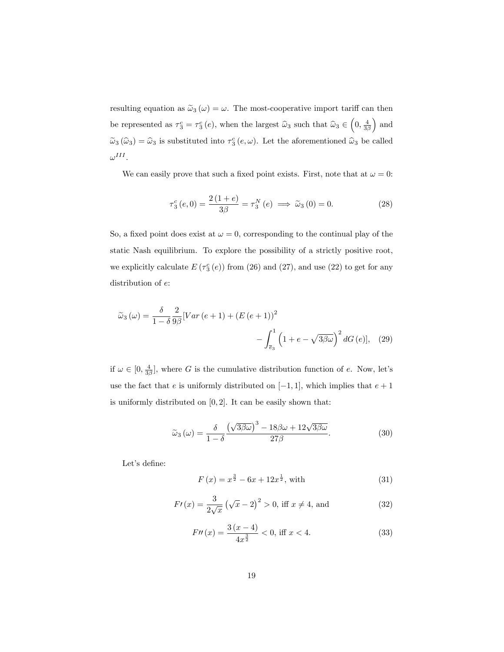resulting equation as  $\tilde{\omega}_3(\omega) = \omega$ . The most-cooperative import tariff can then be represented as  $\tau_3^c = \tau_3^c(e)$ , when the largest  $\hat{\omega}_3$  such that  $\hat{\omega}_3 \in \left(0, \frac{4}{3\beta}\right)$  $\big)$  and  $\tilde{\omega}_3(\hat{\omega}_3) = \hat{\omega}_3$  is substituted into  $\tau_3^c(e,\omega)$ . Let the aforementioned  $\hat{\omega}_3$  be called  $\omega^{III}.$ 

We can easily prove that such a fixed point exists. First, note that at  $\omega = 0$ :

$$
\tau_3^c(e,0) = \frac{2(1+e)}{3\beta} = \tau_3^N(e) \implies \tilde{\omega}_3(0) = 0.
$$
 (28)

So, a fixed point does exist at  $\omega = 0$ , corresponding to the continual play of the static Nash equilibrium. To explore the possibility of a strictly positive root, we explicitly calculate  $E(\tau_3^c(e))$  from (26) and (27), and use (22) to get for any distribution of  $e$ :

$$
\widetilde{\omega}_3(\omega) = \frac{\delta}{1-\delta} \frac{2}{9\beta} \left[ Var\left(e+1\right) + \left(E\left(e+1\right)\right)^2 \right] - \int_{\bar{e}_3}^1 \left(1+e - \sqrt{3\beta\omega}\right)^2 dG\left(e\right), \quad (29)
$$

if  $\omega \in [0, \frac{4}{3\beta}]$ , where G is the cumulative distribution function of e. Now, let's use the fact that e is uniformly distributed on  $[-1, 1]$ , which implies that  $e + 1$ is uniformly distributed on  $[0, 2]$ . It can be easily shown that:

$$
\widetilde{\omega}_3(\omega) = \frac{\delta}{1 - \delta} \frac{\left(\sqrt{3\beta\omega}\right)^3 - 18\beta\omega + 12\sqrt{3\beta\omega}}{27\beta}.
$$
\n(30)

Let's define:

$$
F(x) = x^{\frac{3}{2}} - 6x + 12x^{\frac{1}{2}}, \text{ with} \tag{31}
$$

$$
F'(x) = \frac{3}{2\sqrt{x}} (\sqrt{x} - 2)^2 > 0, \text{ iff } x \neq 4, \text{ and}
$$
 (32)

$$
F''(x) = \frac{3(x-4)}{4x^{\frac{3}{2}}} < 0, \text{ iff } x < 4.
$$
 (33)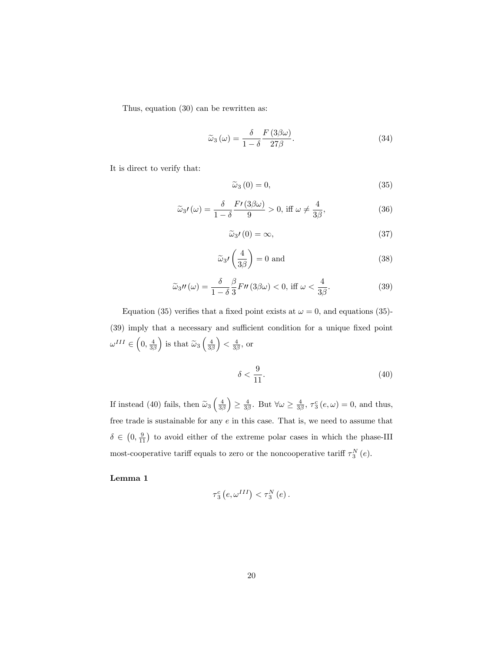Thus, equation (30) can be rewritten as:

$$
\widetilde{\omega}_3(\omega) = \frac{\delta}{1 - \delta} \frac{F(3\beta\omega)}{27\beta}.
$$
\n(34)

It is direct to verify that:

$$
\tilde{\omega}_3(0) = 0,\t\t(35)
$$

$$
\widetilde{\omega}_3 \prime(\omega) = \frac{\delta}{1-\delta} \frac{F\prime(3\beta\omega)}{9} > 0, \text{ iff } \omega \neq \frac{4}{3\beta}, \tag{36}
$$

$$
\widetilde{\omega}_3 \prime (0) = \infty, \tag{37}
$$

$$
\widetilde{\omega}_3 \prime \left( \frac{4}{3\beta} \right) = 0 \text{ and } \tag{38}
$$

$$
\widetilde{\omega}_3 \prime \prime(\omega) = \frac{\delta}{1-\delta} \frac{\beta}{3} F\prime \prime \left(3\beta \omega\right) < 0, \text{ iff } \omega < \frac{4}{3\beta}. \tag{39}
$$

Equation (35) verifies that a fixed point exists at  $\omega = 0$ , and equations (35)-(39) imply that a necessary and sufficient condition for a unique fixed point  $\omega^{III} \in \left(0, \frac{4}{3\beta}\right)$ ) is that  $\widetilde{\omega}_3\left(\frac{4}{3\beta}\right)$  $\left.\right) < \frac{4}{3\beta}$ , or

$$
\delta < \frac{9}{11}.\tag{40}
$$

If instead (40) fails, then  $\tilde{\omega}_3 \left( \frac{4}{3\beta} \right)$  $\overline{ }$  $\geq \frac{4}{3\beta}$ . But  $\forall \omega \geq \frac{4}{3\beta}, \tau_3^c(e,\omega) = 0$ , and thus, free trade is sustainable for any  $e$  in this case. That is, we need to assume that  $\delta \in (0, \frac{9}{11})$  to avoid either of the extreme polar cases in which the phase-III most-cooperative tariff equals to zero or the noncooperative tariff  $\tau_3^N(e)$ .

Lemma 1

$$
\tau_{3}^{c}\left(e,\omega^{III}\right)<\tau_{3}^{N}\left(e\right).
$$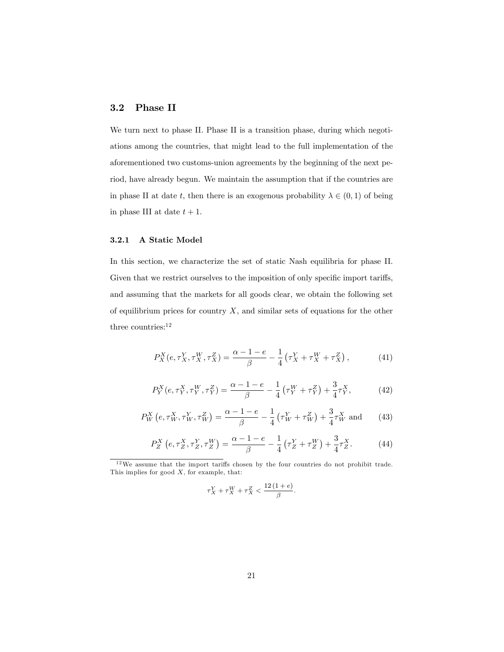### 3.2 Phase II

We turn next to phase II. Phase II is a transition phase, during which negotiations among the countries, that might lead to the full implementation of the aforementioned two customs-union agreements by the beginning of the next period, have already begun. We maintain the assumption that if the countries are in phase II at date t, then there is an exogenous probability  $\lambda \in (0,1)$  of being in phase III at date  $t + 1$ .

### 3.2.1 A Static Model

In this section, we characterize the set of static Nash equilibria for phase II. Given that we restrict ourselves to the imposition of only specific import tariffs, and assuming that the markets for all goods clear, we obtain the following set of equilibrium prices for country  $X$ , and similar sets of equations for the other three countries:<sup>12</sup>

$$
P_X^X(e, \tau_X^Y, \tau_X^W, \tau_X^Z) = \frac{\alpha - 1 - e}{\beta} - \frac{1}{4} (\tau_X^Y + \tau_X^W + \tau_X^Z), \tag{41}
$$

$$
P_Y^X(e, \tau_Y^X, \tau_Y^W, \tau_Y^Z) = \frac{\alpha - 1 - e}{\beta} - \frac{1}{4} \left( \tau_Y^W + \tau_Y^Z \right) + \frac{3}{4} \tau_Y^X,\tag{42}
$$

$$
P_W^X \left( e, \tau_W^X, \tau_W^Y, \tau_W^Z \right) = \frac{\alpha - 1 - e}{\beta} - \frac{1}{4} \left( \tau_W^Y + \tau_W^Z \right) + \frac{3}{4} \tau_W^X \text{ and } \qquad (43)
$$

$$
P_Z^X \left( e, \tau_Z^X, \tau_Z^Y, \tau_Z^W \right) = \frac{\alpha - 1 - e}{\beta} - \frac{1}{4} \left( \tau_Z^Y + \tau_Z^W \right) + \frac{3}{4} \tau_Z^X. \tag{44}
$$

$$
\tau_X^Y + \tau_X^W + \tau_X^Z < \frac{12(1+e)}{\beta}.
$$

 $12$ We assume that the import tariffs chosen by the four countries do not prohibit trade. This implies for good  $X$ , for example, that: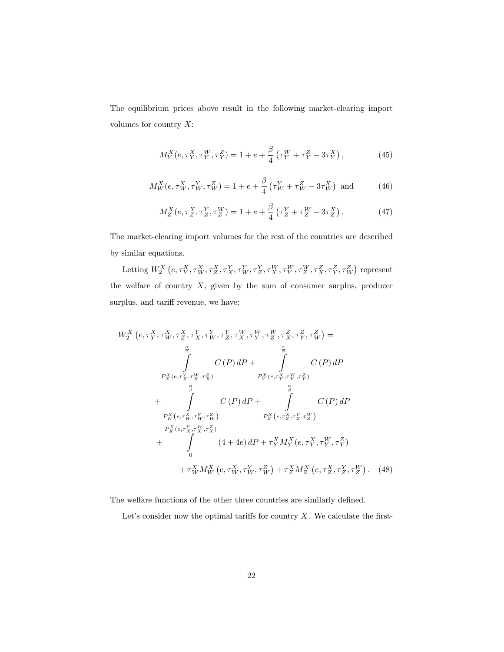The equilibrium prices above result in the following market-clearing import volumes for country  $X$ :

$$
M_Y^X(e, \tau_Y^X, \tau_Y^W, \tau_Y^Z) = 1 + e + \frac{\beta}{4} \left( \tau_Y^W + \tau_Y^Z - 3\tau_Y^X \right),\tag{45}
$$

$$
M_W^X(e, \tau_W^X, \tau_W^Y, \tau_W^Z) = 1 + e + \frac{\beta}{4} \left( \tau_W^Y + \tau_W^Z - 3\tau_W^X \right) \text{ and } \tag{46}
$$

$$
M_Z^X(e, \tau_Z^X, \tau_Z^Y, \tau_Z^W) = 1 + e + \frac{\beta}{4} (\tau_Z^Y + \tau_Z^W - 3\tau_Z^X).
$$
 (47)

The market-clearing import volumes for the rest of the countries are described by similar equations.

Letting  $W_2^X\left(e,\tau^X_Y,\tau^X_W,\tau^X_Z,\tau^Y_W,\tau^Y_Z,\tau^W_X,\tau^W_Y,\tau^W_Z,\tau^Z_X,\tau^Z_Y,\tau^Z_W\right)$  represent the welfare of country  $X$ , given by the sum of consumer surplus, producer surplus, and tariff revenue, we have:

$$
W_{2}^{X} (e, \tau_{Y}^{X}, \tau_{W}^{X}, \tau_{Z}^{Y}, \tau_{X}^{Y}, \tau_{Y}^{Y}, \tau_{X}^{W}, \tau_{Y}^{W}, \tau_{Z}^{Z}, \tau_{X}^{Z}, \tau_{Y}^{Z}, \tau_{W}^{Z}) =
$$
\n
$$
\int_{\frac{\alpha}{\beta}}^{2} C(P) dP + \int_{P_{X}^{X}(e, \tau_{X}^{Y}, \tau_{X}^{W}, \tau_{X}^{Z})}^{2} C(P) dP
$$
\n
$$
P_{Y}^{X}(e, \tau_{X}^{Y}, \tau_{X}^{W}, \tau_{X}^{Z}) = P_{Y}^{X}(e, \tau_{Y}^{X}, \tau_{Y}^{W}, \tau_{Y}^{Z})
$$
\n
$$
+ \int_{P_{W}^{X}(e, \tau_{W}^{X}, \tau_{W}^{Y}, \tau_{W}^{Z})}^{2} P_{Z}^{X}(e, \tau_{Z}^{X}, \tau_{Z}^{Y}, \tau_{Y}^{W})
$$
\n
$$
P_{X}^{X}(e, \tau_{X}^{Y}, \tau_{X}^{W}, \tau_{X}^{Z})
$$
\n
$$
+ \int_{0}^{2} (4 + 4e) dP + \tau_{Y}^{X} M_{Y}^{X}(e, \tau_{Y}^{X}, \tau_{Y}^{W}, \tau_{Y}^{Z})
$$
\n
$$
+ \tau_{W}^{X} M_{W}^{X}(e, \tau_{W}^{X}, \tau_{W}^{Y}, \tau_{W}^{Z}) + \tau_{Z}^{X} M_{Z}^{X}(e, \tau_{Z}^{X}, \tau_{Z}^{Y}, \tau_{Z}^{W}).
$$
\n(48)

The welfare functions of the other three countries are similarly defined.

Let's consider now the optimal tariffs for country  $X$ . We calculate the first-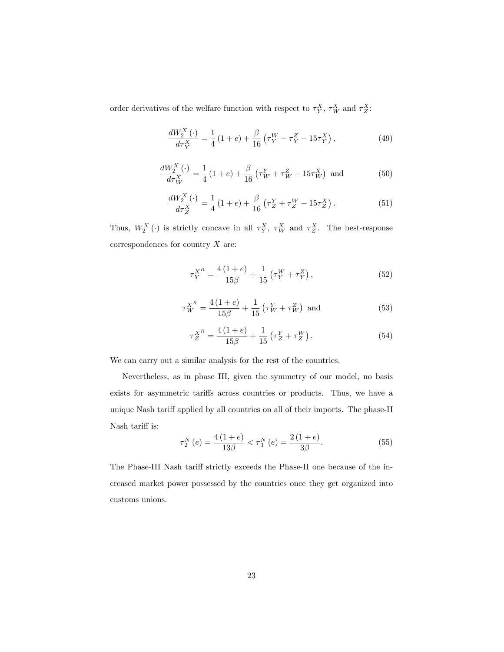order derivatives of the welfare function with respect to  $\tau_Y^X$ ,  $\tau_W^X$  and  $\tau_Z^X$ :

$$
\frac{dW_2^X(\cdot)}{d\tau_Y^X} = \frac{1}{4} \left( 1 + e \right) + \frac{\beta}{16} \left( \tau_Y^W + \tau_Y^Z - 15\tau_Y^X \right),\tag{49}
$$

$$
\frac{dW_2^X(\cdot)}{d\tau_W^X} = \frac{1}{4} (1+e) + \frac{\beta}{16} (\tau_W^Y + \tau_W^Z - 15\tau_W^X) \text{ and } (50)
$$

$$
\frac{dW_2^X(\cdot)}{d\tau_Z^X} = \frac{1}{4} (1+e) + \frac{\beta}{16} \left( \tau_Z^Y + \tau_Z^W - 15\tau_Z^X \right). \tag{51}
$$

Thus,  $W_2^X(\cdot)$  is strictly concave in all  $\tau_Y^X$ ,  $\tau_W^X$  and  $\tau_Z^X$ . The best-response correspondences for country  $X$  are:

$$
\tau_Y^{X^R} = \frac{4(1+e)}{15\beta} + \frac{1}{15} \left( \tau_Y^W + \tau_Y^Z \right),\tag{52}
$$

$$
\tau_W^{X^R} = \frac{4(1+e)}{15\beta} + \frac{1}{15} \left( \tau_W^Y + \tau_W^Z \right) \text{ and } \tag{53}
$$

$$
\tau_Z^{X^R} = \frac{4(1+e)}{15\beta} + \frac{1}{15} \left( \tau_Z^Y + \tau_Z^W \right). \tag{54}
$$

We can carry out a similar analysis for the rest of the countries.

Nevertheless, as in phase III, given the symmetry of our model, no basis exists for asymmetric tariffs across countries or products. Thus, we have a unique Nash tariff applied by all countries on all of their imports. The phase-II Nash tariff is:

$$
\tau_2^N(e) = \frac{4(1+e)}{13\beta} < \tau_3^N(e) = \frac{2(1+e)}{3\beta}.\tag{55}
$$

The Phase-III Nash tariff strictly exceeds the Phase-II one because of the increased market power possessed by the countries once they get organized into customs unions.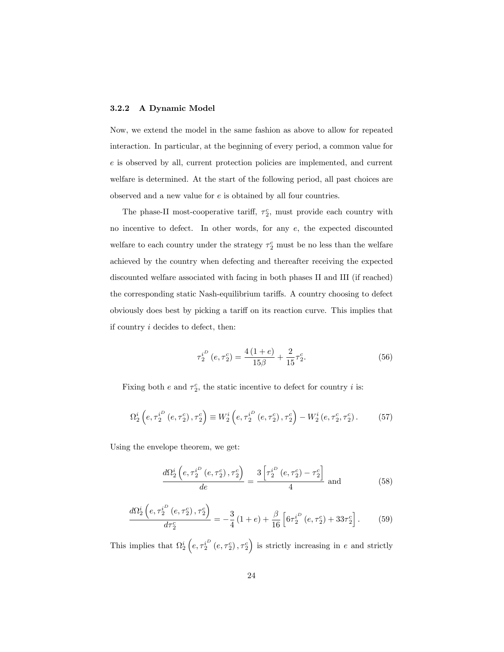#### 3.2.2 A Dynamic Model

Now, we extend the model in the same fashion as above to allow for repeated interaction. In particular, at the beginning of every period, a common value for e is observed by all, current protection policies are implemented, and current welfare is determined. At the start of the following period, all past choices are observed and a new value for e is obtained by all four countries.

The phase-II most-cooperative tariff,  $\tau_2^c$ , must provide each country with no incentive to defect. In other words, for any  $e$ , the expected discounted welfare to each country under the strategy  $\tau_2^c$  must be no less than the welfare achieved by the country when defecting and thereafter receiving the expected discounted welfare associated with facing in both phases II and III (if reached) the corresponding static Nash-equilibrium tariffs. A country choosing to defect obviously does best by picking a tari§ on its reaction curve. This implies that if country i decides to defect, then:

$$
\tau_2^{i^D} (e, \tau_2^c) = \frac{4(1+e)}{15\beta} + \frac{2}{15}\tau_2^c.
$$
 (56)

Fixing both e and  $\tau_2^c$ , the static incentive to defect for country i is:

$$
\Omega_2^i \left( e, \tau_2^{i^D} \left( e, \tau_2^c \right), \tau_2^c \right) \equiv W_2^i \left( e, \tau_2^{i^D} \left( e, \tau_2^c \right), \tau_2^c \right) - W_2^i \left( e, \tau_2^c, \tau_2^c \right). \tag{57}
$$

Using the envelope theorem, we get:

$$
\frac{d\Omega_2^i\left(e, \tau_2^{i^D}\left(e, \tau_2^c\right), \tau_2^c\right)}{de} = \frac{3\left[\tau_2^{i^D}\left(e, \tau_2^c\right) - \tau_2^c\right]}{4} \text{ and } \tag{58}
$$

$$
\frac{d\Omega_2^i\left(e, \tau_2^{i^D}\left(e, \tau_2^c\right), \tau_2^c\right)}{d\tau_2^c} = -\frac{3}{4}\left(1+e\right) + \frac{\beta}{16}\left[6\tau_2^{i^D}\left(e, \tau_2^c\right) + 33\tau_2^c\right].\tag{59}
$$

This implies that  $\Omega_2^i\left(e,\tau_2^{i^D}(e,\tau_2^c),\tau_2^c\right)$  is strictly increasing in e and strictly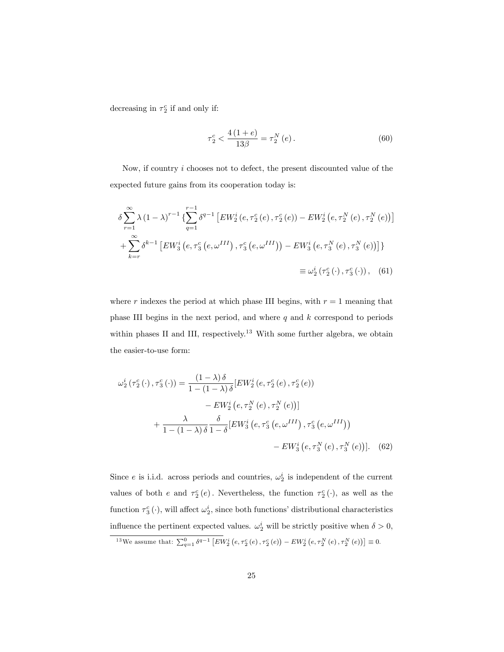decreasing in  $\tau_2^c$  if and only if:

$$
\tau_2^c < \frac{4(1+e)}{13\beta} = \tau_2^N(e). \tag{60}
$$

Now, if country i chooses not to defect, the present discounted value of the expected future gains from its cooperation today is:

$$
\delta \sum_{r=1}^{\infty} \lambda (1 - \lambda)^{r-1} \left\{ \sum_{q=1}^{r-1} \delta^{q-1} \left[ E W_2^i (e, \tau_2^c (e), \tau_2^c (e)) - E W_2^i (e, \tau_2^N (e), \tau_2^N (e)) \right] \right\}
$$
  
+ 
$$
\sum_{k=r}^{\infty} \delta^{k-1} \left[ E W_3^i (e, \tau_3^c (e, \omega^{III}), \tau_3^c (e, \omega^{III})) - E W_3^i (e, \tau_3^N (e), \tau_3^N (e)) \right] \}
$$
  

$$
\equiv \omega_2^i (\tau_2^c (\cdot), \tau_3^c (\cdot)), \quad (61)
$$

where  $r$  indexes the period at which phase III begins, with  $r = 1$  meaning that phase III begins in the next period, and where  $q$  and  $k$  correspond to periods within phases II and III, respectively.<sup>13</sup> With some further algebra, we obtain the easier-to-use form:

$$
\omega_{2}^{i}(\tau_{2}^{c}(\cdot),\tau_{3}^{c}(\cdot)) = \frac{(1-\lambda)\delta}{1-(1-\lambda)\delta} [EW_{2}^{i}(e,\tau_{2}^{c}(e),\tau_{2}^{c}(e))-EW_{2}^{i}(e,\tau_{2}^{N}(e),\tau_{2}^{N}(e))]+\frac{\lambda}{1-(1-\lambda)\delta} \frac{\delta}{1-\delta} [EW_{3}^{i}(e,\tau_{3}^{c}(e,\omega^{III}),\tau_{3}^{c}(e,\omega^{III}))- EW_{3}^{i}(e,\tau_{3}^{N}(e),\tau_{3}^{N}(e))].
$$
(62)

Since e is i.i.d. across periods and countries,  $\omega_2^i$  is independent of the current values of both  $e$  and  $\tau_2^c(e)$ . Nevertheless, the function  $\tau_2^c(\cdot)$ , as well as the function  $\tau_3^c(\cdot)$ , will affect  $\omega_2^i$ , since both functions' distributional characteristics influence the pertinent expected values.  $\omega_2^i$  will be strictly positive when  $\delta > 0$ ,

<sup>&</sup>lt;sup>13</sup>We assume that:  $\sum_{q=1}^{0} \delta^{q-1} \left[ EW_{2}^{i} \left( e, \tau_{2}^{c} \left( e \right), \tau_{2}^{c} \left( e \right) \right) - EW_{2}^{i} \left( e, \tau_{2}^{N} \left( e \right), \tau_{2}^{N} \left( e \right) \right) \right] \equiv 0.$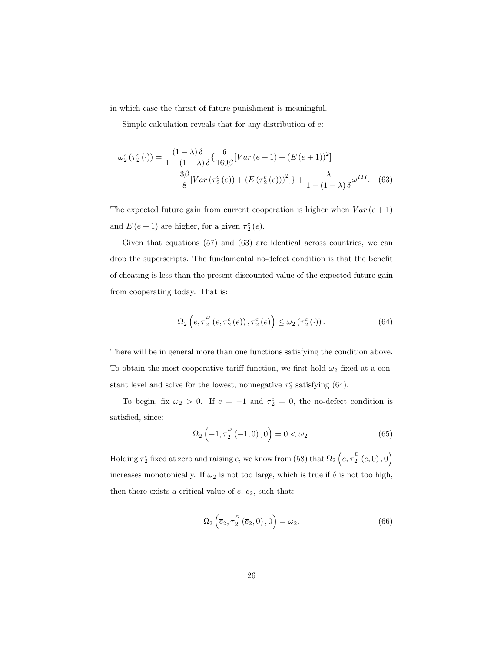in which case the threat of future punishment is meaningful.

Simple calculation reveals that for any distribution of  $e$ .

$$
\omega_{2}^{i}(\tau_{2}^{c}(\cdot)) = \frac{(1-\lambda)\delta}{1-(1-\lambda)\delta} \left\{ \frac{6}{169\beta} [Var(e+1) + (E(e+1))^{2}] - \frac{3\beta}{8} [Var(\tau_{2}^{c}(e)) + (E(\tau_{2}^{c}(e)))^{2}] \right\} + \frac{\lambda}{1-(1-\lambda)\delta} \omega^{III}.
$$
 (63)

The expected future gain from current cooperation is higher when  $Var(e + 1)$ and  $E(e + 1)$  are higher, for a given  $\tau_2^c(e)$ .

Given that equations (57) and (63) are identical across countries, we can drop the superscripts. The fundamental no-defect condition is that the benefit of cheating is less than the present discounted value of the expected future gain from cooperating today. That is:

$$
\Omega_2\left(e, \tau_2^{\scriptscriptstyle D}\left(e, \tau_2^{\scriptscriptstyle C}\left(e\right)\right), \tau_2^{\scriptscriptstyle C}\left(e\right)\right) \leq \omega_2\left(\tau_2^{\scriptscriptstyle C}\left(\cdot\right)\right). \tag{64}
$$

There will be in general more than one functions satisfying the condition above. To obtain the most-cooperative tariff function, we first hold  $\omega_2$  fixed at a constant level and solve for the lowest, nonnegative  $\tau_2^c$  satisfying (64).

To begin, fix  $\omega_2 > 0$ . If  $e = -1$  and  $\tau_2^c = 0$ , the no-defect condition is satisfied, since:

$$
\Omega_2 \left( -1, \tau_2^P \left( -1, 0 \right), 0 \right) = 0 < \omega_2. \tag{65}
$$

Holding  $\tau_2^c$  fixed at zero and raising  $e$ , we know from (58) that  $\Omega_2\left(e,\tau_2^D\left(e,0\right),0\right)$ increases monotonically. If  $\omega_2$  is not too large, which is true if  $\delta$  is not too high, then there exists a critical value of  $e, \overline{e}_2$ , such that:

$$
\Omega_2\left(\overline{e}_2, \tau_2^D\left(\overline{e}_2, 0\right), 0\right) = \omega_2. \tag{66}
$$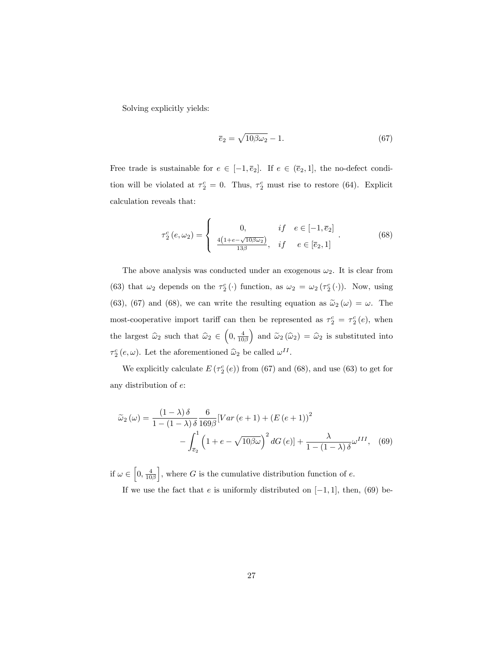Solving explicitly yields:

$$
\overline{e}_2 = \sqrt{10\beta\omega_2} - 1.\tag{67}
$$

Free trade is sustainable for  $e \in [-1, \overline{e}_2]$ . If  $e \in (\overline{e}_2, 1]$ , the no-defect condition will be violated at  $\tau_2^c = 0$ . Thus,  $\tau_2^c$  must rise to restore (64). Explicit calculation reveals that:

$$
\tau_2^c(e,\omega_2) = \begin{cases}\n0, & if \quad e \in [-1,\overline{e}_2] \\
\frac{4(1+e-\sqrt{10\beta\omega_2})}{13\beta}, & if \quad e \in [\overline{e}_2,1]\n\end{cases}.
$$
\n(68)

The above analysis was conducted under an exogenous  $\omega_2$ . It is clear from (63) that  $\omega_2$  depends on the  $\tau_2^c(\cdot)$  function, as  $\omega_2 = \omega_2(\tau_2^c(\cdot))$ . Now, using (63), (67) and (68), we can write the resulting equation as  $\tilde{\omega}_2(\omega) = \omega$ . The most-cooperative import tariff can then be represented as  $\tau_2^c = \tau_2^c(e)$ , when the largest  $\widehat{\omega}_2$  such that  $\widehat{\omega}_2 \in \left(0, \frac{4}{10\beta}\right)$ ) and  $\widetilde{\omega}_2 (\widehat{\omega}_2) = \widehat{\omega}_2$  is substituted into  $\tau_2^c(e,\omega)$ . Let the aforementioned  $\hat{\omega}_2$  be called  $\omega^{II}$ .

We explicitly calculate  $E(\tau_2^c(e))$  from (67) and (68), and use (63) to get for any distribution of e:

$$
\widetilde{\omega}_2(\omega) = \frac{(1-\lambda)\delta}{1-(1-\lambda)\delta} \frac{6}{169\beta} [Var(e+1) + (E(e+1))^2 - \int_{\overline{e}_2}^1 \left(1 + e - \sqrt{10\beta\omega}\right)^2 dG(e)] + \frac{\lambda}{1-(1-\lambda)\delta} \omega^{III}, \quad (69)
$$

if  $\omega \in \left[0, \frac{4}{10\beta}\right]$ , where G is the cumulative distribution function of  $e$ . If we use the fact that  $e$  is uniformly distributed on  $[-1, 1]$ , then, (69) be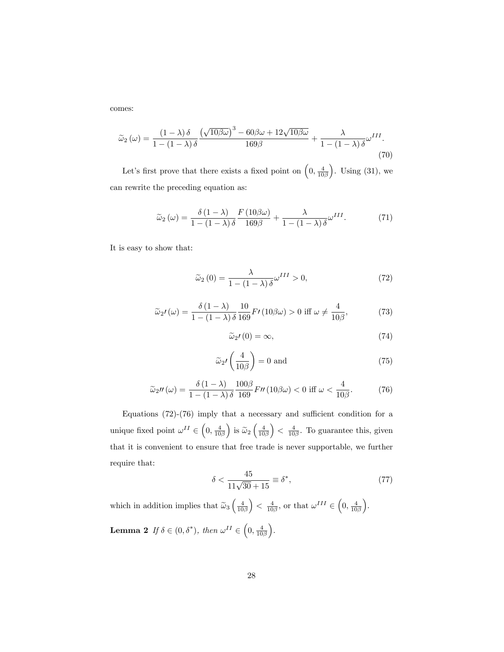comes:

$$
\widetilde{\omega}_2(\omega) = \frac{(1-\lambda)\,\delta}{1-(1-\lambda)\,\delta} \frac{\left(\sqrt{10\beta\omega}\right)^3 - 60\beta\omega + 12\sqrt{10\beta\omega}}{169\beta} + \frac{\lambda}{1-(1-\lambda)\,\delta}\omega^{III}.\tag{70}
$$

Let's first prove that there exists a fixed point on  $\left(0, \frac{4}{10\beta}\right)$ ). Using  $(31)$ , we can rewrite the preceding equation as:

$$
\widetilde{\omega}_2(\omega) = \frac{\delta(1-\lambda)}{1-(1-\lambda)\delta} \frac{F(10\beta\omega)}{169\beta} + \frac{\lambda}{1-(1-\lambda)\delta} \omega^{III}.
$$
 (71)

It is easy to show that:

$$
\widetilde{\omega}_2(0) = \frac{\lambda}{1 - (1 - \lambda)\delta} \omega^{III} > 0,\tag{72}
$$

$$
\widetilde{\omega}_2 \prime(\omega) = \frac{\delta (1 - \lambda)}{1 - (1 - \lambda) \delta} \frac{10}{169} F \prime (10 \beta \omega) > 0 \text{ iff } \omega \neq \frac{4}{10 \beta}, \tag{73}
$$

$$
\widetilde{\omega}_2 t(0) = \infty, \tag{74}
$$

$$
\widetilde{\omega}_2 \prime \left( \frac{4}{10\beta} \right) = 0 \text{ and } \tag{75}
$$

$$
\widetilde{\omega}_2 \prime \prime \left( \omega \right) = \frac{\delta \left( 1 - \lambda \right)}{1 - \left( 1 - \lambda \right) \delta} \frac{100 \beta}{169} F \prime \prime \left( 10 \beta \omega \right) < 0 \text{ iff } \omega < \frac{4}{10 \beta}. \tag{76}
$$

Equations  $(72)-(76)$  imply that a necessary and sufficient condition for a unique fixed point  $\omega^{II} \in \left(0, \frac{4}{10\beta}\right)$ ) is  $\widetilde{\omega}_2\left(\frac{4}{10\beta}\right)$  $\left( \frac{4}{10\beta}$ . To guarantee this, given that it is convenient to ensure that free trade is never supportable, we further require that:

$$
\delta < \frac{45}{11\sqrt{30} + 15} \equiv \delta^*,\tag{77}
$$

which in addition implies that  $\widetilde{\omega}_3\left(\frac{4}{10\beta}\right)$  $\left(0, \frac{4}{10\beta}, \text{ or that } \omega^{III} \in \left(0, \frac{4}{10\beta}\right)\right)$  . **Lemma 2** If  $\delta \in (0, \delta^*)$ , then  $\omega^{II} \in \left(0, \frac{4}{10\beta}\right)$ .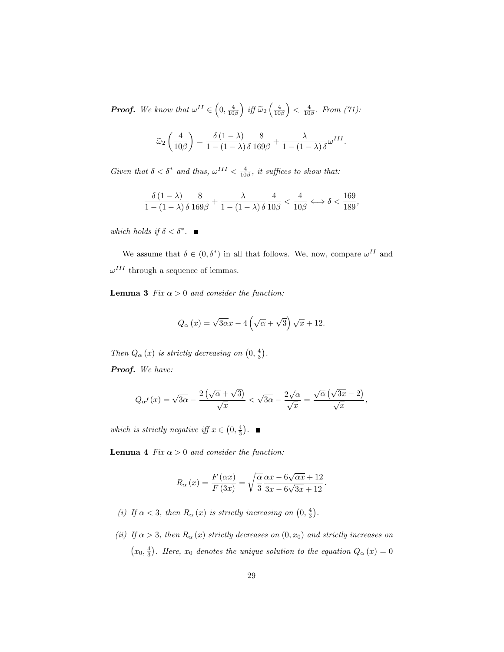**Proof.** We know that  $\omega^{II} \in \left(0, \frac{4}{10\beta}\right)$ ) iff  $\widetilde{\omega}_2\left(\frac{4}{10\beta}\right)$  $\Big\} < \frac{4}{10\beta}$ . From (71):

$$
\widetilde{\omega}_2\left(\frac{4}{10\beta}\right) = \frac{\delta(1-\lambda)}{1-(1-\lambda)\delta} \frac{8}{169\beta} + \frac{\lambda}{1-(1-\lambda)\delta} \omega^{III}.
$$

Given that  $\delta < \delta^*$  and thus,  $\omega^{III} < \frac{4}{10\beta}$ , it suffices to show that:

$$
\frac{\delta(1-\lambda)}{1-(1-\lambda)\,\delta}\frac{8}{169\beta}+\frac{\lambda}{1-(1-\lambda)\,\delta}\frac{4}{10\beta}<\frac{4}{10\beta} \Longleftrightarrow \delta<\frac{169}{189},
$$

which holds if  $\delta < \delta^*$ .

We assume that  $\delta \in (0, \delta^*)$  in all that follows. We, now, compare  $\omega^{II}$  and  $\omega^{III}$  through a sequence of lemmas.

**Lemma 3** Fix  $\alpha > 0$  and consider the function:

$$
Q_{\alpha}(x) = \sqrt{3\alpha}x - 4\left(\sqrt{\alpha} + \sqrt{3}\right)\sqrt{x} + 12.
$$

Then  $Q_{\alpha}(x)$  is strictly decreasing on  $(0, \frac{4}{3})$ .

Proof. We have:

$$
Q_{\alpha'}(x) = \sqrt{3\alpha} - \frac{2(\sqrt{\alpha} + \sqrt{3})}{\sqrt{x}} < \sqrt{3\alpha} - \frac{2\sqrt{\alpha}}{\sqrt{x}} = \frac{\sqrt{\alpha}(\sqrt{3x} - 2)}{\sqrt{x}},
$$

which is strictly negative iff  $x \in \left(0, \frac{4}{3}\right)$ .

**Lemma 4** Fix  $\alpha > 0$  and consider the function:

$$
R_{\alpha}(x) = \frac{F(\alpha x)}{F(3x)} = \sqrt{\frac{\alpha}{3}} \frac{\alpha x - 6\sqrt{\alpha x} + 12}{3x - 6\sqrt{3x} + 12}.
$$

- (i) If  $\alpha < 3$ , then  $R_{\alpha}(x)$  is strictly increasing on  $(0, \frac{4}{3})$ .
- (ii) If  $\alpha > 3$ , then  $R_{\alpha}(x)$  strictly decreases on  $(0, x_0)$  and strictly increases on  $(x_0, \frac{4}{3})$ . Here,  $x_0$  denotes the unique solution to the equation  $Q_{\alpha}(x) = 0$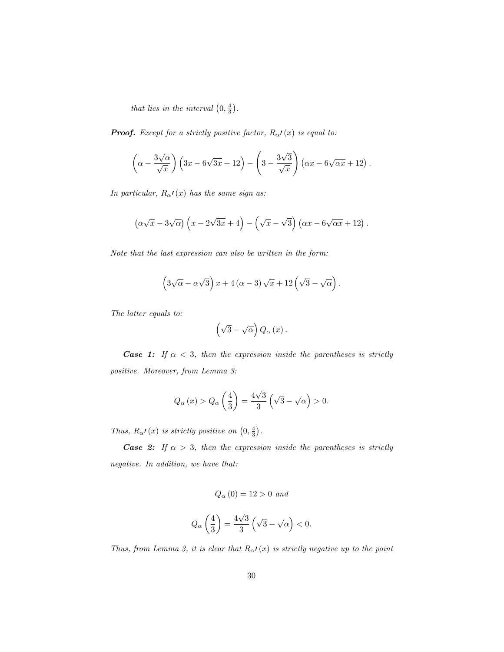that lies in the interval  $(0, \frac{4}{3})$ .

**Proof.** Except for a strictly positive factor,  $R_{\alpha}$  $(x)$  is equal to:

$$
\left(\alpha - \frac{3\sqrt{\alpha}}{\sqrt{x}}\right) \left(3x - 6\sqrt{3x} + 12\right) - \left(3 - \frac{3\sqrt{3}}{\sqrt{x}}\right) \left(\alpha x - 6\sqrt{\alpha x} + 12\right).
$$

In particular,  $R_{\alpha'}(x)$  has the same sign as:

$$
\left(\alpha\sqrt{x}-3\sqrt{\alpha}\right)\left(x-2\sqrt{3x}+4\right)-\left(\sqrt{x}-\sqrt{3}\right)\left(\alpha x-6\sqrt{\alpha x}+12\right).
$$

Note that the last expression can also be written in the form:

$$
(3\sqrt{\alpha} - \alpha\sqrt{3}) x + 4(\alpha - 3)\sqrt{x} + 12(\sqrt{3} - \sqrt{\alpha}).
$$

The latter equals to:

$$
\left(\sqrt{3}-\sqrt{\alpha}\right)Q_{\alpha}\left(x\right).
$$

**Case 1:** If  $\alpha < 3$ , then the expression inside the parentheses is strictly positive. Moreover, from Lemma 3:

$$
Q_{\alpha}(x) > Q_{\alpha}\left(\frac{4}{3}\right) = \frac{4\sqrt{3}}{3}\left(\sqrt{3} - \sqrt{\alpha}\right) > 0.
$$

Thus,  $R_{\alpha}$  $\prime$  (x) is strictly positive on  $\left(0, \frac{4}{3}\right)$ .

**Case 2:** If  $\alpha > 3$ , then the expression inside the parentheses is strictly negative. In addition, we have that:

$$
Q_{\alpha}(0) = 12 > 0 \text{ and}
$$
  

$$
Q_{\alpha}\left(\frac{4}{3}\right) = \frac{4\sqrt{3}}{3}\left(\sqrt{3} - \sqrt{\alpha}\right) < 0.
$$

Thus, from Lemma 3, it is clear that  $R_{\alpha'}(x)$  is strictly negative up to the point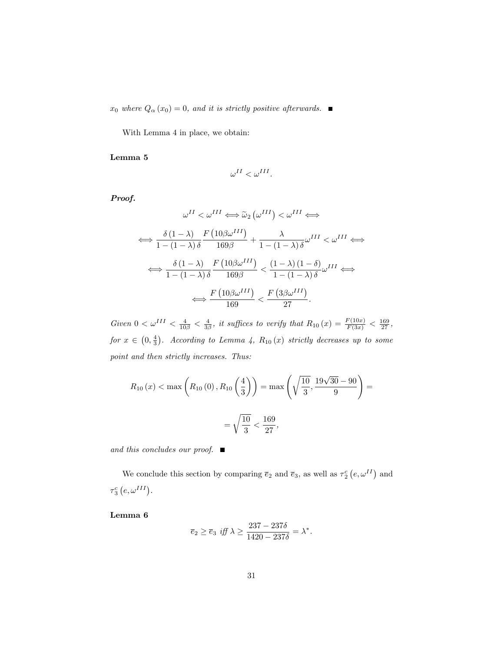$x_0$  where  $Q_{\alpha}(x_0) = 0$ , and it is strictly positive afterwards.

With Lemma 4 in place, we obtain:

### Lemma 5

$$
\omega^{II} < \omega^{III}.
$$

Proof.

$$
\omega^{II} < \omega^{III} \Longleftrightarrow \widetilde{\omega}_{2} \left( \omega^{III} \right) < \omega^{III} \Longleftrightarrow
$$
\n
$$
\Longleftrightarrow \frac{\delta \left( 1 - \lambda \right)}{1 - \left( 1 - \lambda \right) \delta} \frac{F \left( 10 \beta \omega^{III} \right)}{169 \beta} + \frac{\lambda}{1 - \left( 1 - \lambda \right) \delta} \omega^{III} < \omega^{III} \Longleftrightarrow
$$
\n
$$
\Longleftrightarrow \frac{\delta \left( 1 - \lambda \right)}{1 - \left( 1 - \lambda \right) \delta} \frac{F \left( 10 \beta \omega^{III} \right)}{169 \beta} < \frac{\left( 1 - \lambda \right) \left( 1 - \delta \right)}{1 - \left( 1 - \lambda \right) \delta} \omega^{III} \Longleftrightarrow
$$
\n
$$
\Longleftrightarrow \frac{F \left( 10 \beta \omega^{III} \right)}{169} < \frac{F \left( 3 \beta \omega^{III} \right)}{27}.
$$

Given  $0 < \omega^{III} < \frac{4}{10\beta} < \frac{4}{3\beta}$ , it suffices to verify that  $R_{10}(x) = \frac{F(10x)}{F(3x)} < \frac{169}{27}$ , for  $x \in (0, \frac{4}{3})$ . According to Lemma 4,  $R_{10}(x)$  strictly decreases up to some point and then strictly increases. Thus:

$$
R_{10}(x) < \max\left(R_{10}(0), R_{10}\left(\frac{4}{3}\right)\right) = \max\left(\sqrt{\frac{10}{3}}, \frac{19\sqrt{30} - 90}{9}\right) = \frac{10}{3} < \frac{169}{27},
$$

and this concludes our proof.  $\blacksquare$ 

We conclude this section by comparing  $\overline{e}_2$  and  $\overline{e}_3$ , as well as  $\tau_2^c$   $(e, \omega^{II})$  and  $\tau_3^c\left(e,\omega^{III}\right)$ .

Lemma 6

$$
\overline{e}_2 \ge \overline{e}_3 \text{ iff } \lambda \ge \frac{237 - 237\delta}{1420 - 237\delta} = \lambda^*.
$$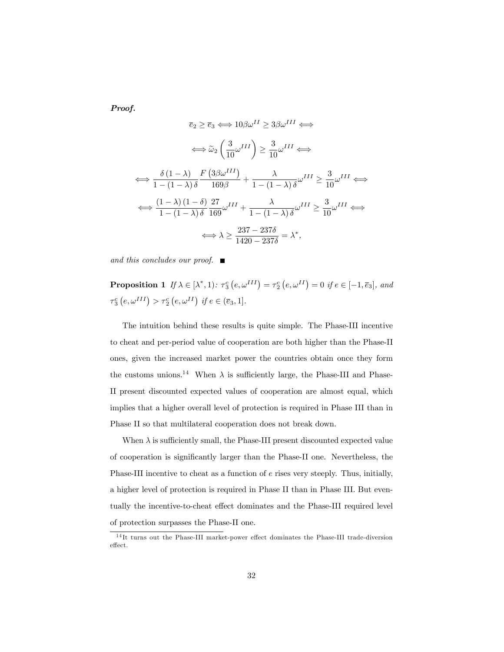Proof.

$$
\overline{e}_2 \ge \overline{e}_3 \iff 10\beta\omega^{II} \ge 3\beta\omega^{III} \iff
$$

$$
\iff \widetilde{\omega}_2 \left(\frac{3}{10}\omega^{III}\right) \ge \frac{3}{10}\omega^{III} \iff
$$

$$
\iff \frac{\delta(1-\lambda)}{1-(1-\lambda)\delta} \frac{F(3\beta\omega^{III})}{169\beta} + \frac{\lambda}{1-(1-\lambda)\delta}\omega^{III} \ge \frac{3}{10}\omega^{III} \iff
$$

$$
\iff \frac{(1-\lambda)(1-\delta)}{1-(1-\lambda)\delta} \frac{27}{169}\omega^{III} + \frac{\lambda}{1-(1-\lambda)\delta}\omega^{III} \ge \frac{3}{10}\omega^{III} \iff
$$

$$
\iff \lambda \ge \frac{237-237\delta}{1420-237\delta} = \lambda^*,
$$

and this concludes our proof.  $\blacksquare$ 

**Proposition 1** If  $\lambda \in [\lambda^*, 1)$ :  $\tau_3^c(e, \omega^{III}) = \tau_2^c(e, \omega^{II}) = 0$  if  $e \in [-1, \overline{e}_3]$ , and  $\tau_3^c\left(e, \omega^{III}\right) > \tau_2^c\left(e, \omega^{II}\right) \text{ if } e \in (\overline{e}_3, 1].$ 

The intuition behind these results is quite simple. The Phase-III incentive to cheat and per-period value of cooperation are both higher than the Phase-II ones, given the increased market power the countries obtain once they form the customs unions.<sup>14</sup> When  $\lambda$  is sufficiently large, the Phase-III and Phase-II present discounted expected values of cooperation are almost equal, which implies that a higher overall level of protection is required in Phase III than in Phase II so that multilateral cooperation does not break down.

When  $\lambda$  is sufficiently small, the Phase-III present discounted expected value of cooperation is significantly larger than the Phase-II one. Nevertheless, the Phase-III incentive to cheat as a function of e rises very steeply. Thus, initially, a higher level of protection is required in Phase II than in Phase III. But eventually the incentive-to-cheat effect dominates and the Phase-III required level of protection surpasses the Phase-II one.

 $14$ It turns out the Phase-III market-power effect dominates the Phase-III trade-diversion  $effect.$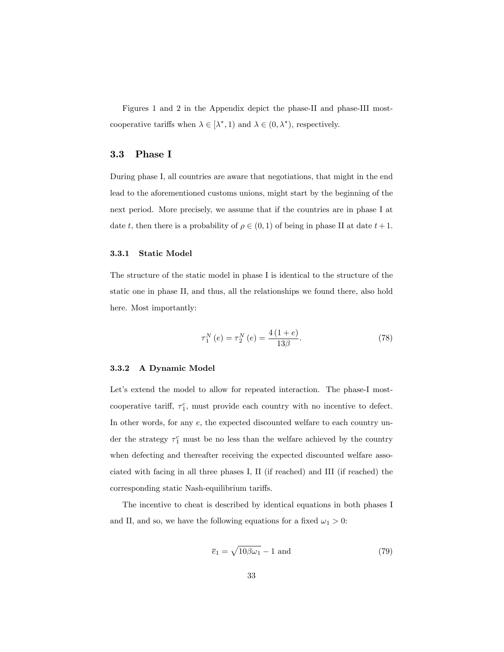Figures 1 and 2 in the Appendix depict the phase-II and phase-III mostcooperative tariffs when  $\lambda \in [\lambda^*, 1)$  and  $\lambda \in (0, \lambda^*)$ , respectively.

### 3.3 Phase I

During phase I, all countries are aware that negotiations, that might in the end lead to the aforementioned customs unions, might start by the beginning of the next period. More precisely, we assume that if the countries are in phase I at date t, then there is a probability of  $\rho \in (0, 1)$  of being in phase II at date  $t + 1$ .

#### 3.3.1 Static Model

The structure of the static model in phase I is identical to the structure of the static one in phase II, and thus, all the relationships we found there, also hold here. Most importantly:

$$
\tau_1^N(e) = \tau_2^N(e) = \frac{4(1+e)}{13\beta}.
$$
\n(78)

#### 3.3.2 A Dynamic Model

Let's extend the model to allow for repeated interaction. The phase-I mostcooperative tariff,  $\tau_1^c$ , must provide each country with no incentive to defect. In other words, for any  $e$ , the expected discounted welfare to each country under the strategy  $\tau_1^c$  must be no less than the welfare achieved by the country when defecting and thereafter receiving the expected discounted welfare associated with facing in all three phases I, II (if reached) and III (if reached) the corresponding static Nash-equilibrium tariffs.

The incentive to cheat is described by identical equations in both phases I and II, and so, we have the following equations for a fixed  $\omega_1 > 0$ :

$$
\overline{e}_1 = \sqrt{10\beta\omega_1} - 1 \text{ and } \tag{79}
$$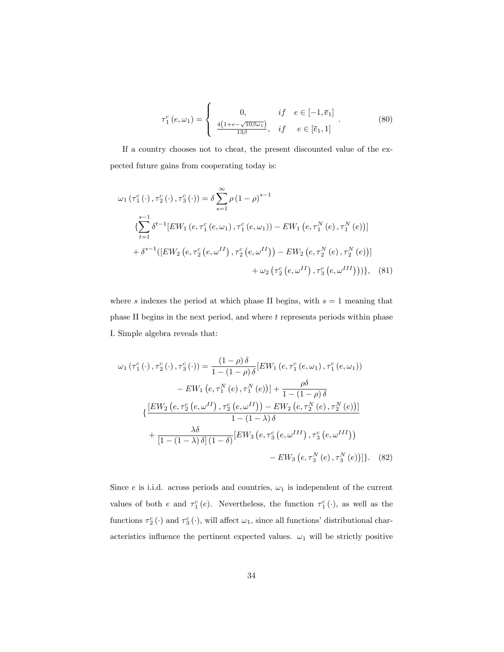$$
\tau_1^c(e,\omega_1) = \begin{cases}\n0, & if \ e \in [-1,\overline{e}_1] \\
\frac{4(1+e-\sqrt{10\beta\omega_1})}{13\beta}, & if \ e \in [\overline{e}_1,1]\n\end{cases}.
$$
\n(80)

If a country chooses not to cheat, the present discounted value of the expected future gains from cooperating today is:

$$
\omega_{1}(\tau_{1}^{c}(\cdot),\tau_{2}^{c}(\cdot),\tau_{3}^{c}(\cdot)) = \delta \sum_{s=1}^{\infty} \rho (1-\rho)^{s-1}
$$
  

$$
\left\{ \sum_{t=1}^{s-1} \delta^{t-1} [EW_{1}(e,\tau_{1}^{c}(e,\omega_{1}),\tau_{1}^{c}(e,\omega_{1})) - EW_{1}(e,\tau_{1}^{N}(e),\tau_{1}^{N}(e))] \right.
$$
  

$$
+ \delta^{s-1} ([EW_{2}(e,\tau_{2}^{c}(e,\omega^{II}),\tau_{2}^{c}(e,\omega^{II})) - EW_{2}(e,\tau_{2}^{N}(e),\tau_{2}^{N}(e))]
$$
  

$$
+ \omega_{2} (\tau_{2}^{c}(e,\omega^{II}),\tau_{3}^{c}(e,\omega^{III}))) \}, \quad (81)
$$

where s indexes the period at which phase II begins, with  $s = 1$  meaning that phase II begins in the next period, and where  $t$  represents periods within phase I. Simple algebra reveals that:

$$
\omega_{1}(\tau_{1}^{c}(\cdot),\tau_{2}^{c}(\cdot),\tau_{3}^{c}(\cdot)) = \frac{(1-\rho)\delta}{1-(1-\rho)\delta}[EW_{1}(e,\tau_{1}^{c}(e,\omega_{1}),\tau_{1}^{c}(e,\omega_{1}))-EW_{1}(e,\tau_{1}^{N}(e),\tau_{1}^{N}(e))] + \frac{\rho\delta}{1-(1-\rho)\delta}\{\frac{[EW_{2}(e,\tau_{2}^{c}(e,\omega^{II}),\tau_{2}^{c}(e,\omega^{II})) - EW_{2}(e,\tau_{2}^{N}(e),\tau_{2}^{N}(e))]}{1-(1-\lambda)\delta}+\frac{\lambda\delta}{[1-(1-\lambda)\delta][1-\delta)}[EW_{3}(e,\tau_{3}^{c}(e,\omega^{III}),\tau_{3}^{c}(e,\omega^{III}))-EW_{3}(e,\tau_{3}^{N}(e),\tau_{3}^{N}(e)),\quad (82)
$$

Since  $e$  is i.i.d. across periods and countries,  $\omega_1$  is independent of the current values of both  $e$  and  $\tau_1^c(e)$ . Nevertheless, the function  $\tau_1^c(\cdot)$ , as well as the functions  $\tau_2^c(\cdot)$  and  $\tau_3^c(\cdot)$ , will affect  $\omega_1$ , since all functions' distributional characteristics influence the pertinent expected values.  $\omega_1$  will be strictly positive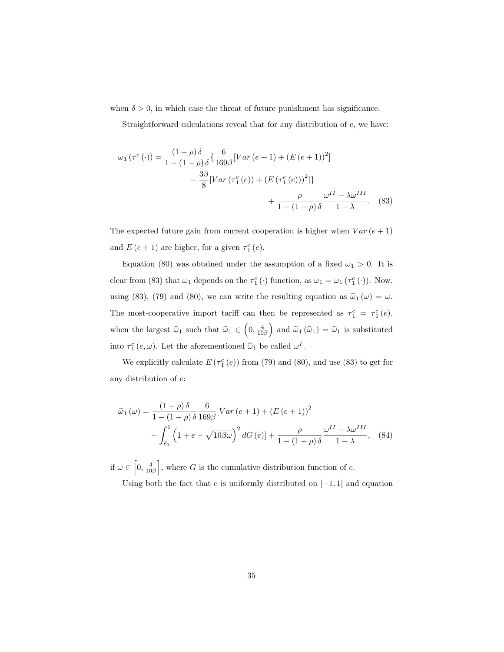when  $\delta > 0$ , in which case the threat of future punishment has significance.

Straightforward calculations reveal that for any distribution of  $e$ , we have:

$$
\omega_1(\tau^c(\cdot)) = \frac{(1-\rho)\,\delta}{1-(1-\rho)\,\delta} \left\{ \frac{6}{169\beta} [Var(e+1) + (E(e+1))^2] - \frac{3\beta}{8} [Var(\tau_1^c(e)) + (E(\tau_1^c(e)))^2] \right\} + \frac{\rho}{1-(1-\rho)\,\delta} \frac{\omega^{II} - \lambda \omega^{III}}{1-\lambda}.
$$
 (83)

The expected future gain from current cooperation is higher when  $Var(e + 1)$ and  $E(e + 1)$  are higher, for a given  $\tau_1^c(e)$ .

Equation (80) was obtained under the assumption of a fixed  $\omega_1 > 0$ . It is clear from (83) that  $\omega_1$  depends on the  $\tau_1^c(\cdot)$  function, as  $\omega_1 = \omega_1(\tau_1^c(\cdot))$ . Now, using (83), (79) and (80), we can write the resulting equation as  $\tilde{\omega}_1(\omega) = \omega$ . The most-cooperative import tariff can then be represented as  $\tau_1^c = \tau_1^c(e)$ , when the largest  $\widehat{\omega}_1$  such that  $\widehat{\omega}_1 \in \left(0, \frac{4}{10\beta}\right)$ ) and  $\widetilde{\omega}_1 (\widehat{\omega}_1) = \widehat{\omega}_1$  is substituted into  $\tau_1^c(e,\omega)$ . Let the aforementioned  $\hat{\omega}_1$  be called  $\omega^I$ .

We explicitly calculate  $E(\tau_1^c(e))$  from (79) and (80), and use (83) to get for any distribution of e:

$$
\widetilde{\omega}_1(\omega) = \frac{(1-\rho)\delta}{1-(1-\rho)\delta} \frac{6}{169\beta} [Var(e+1) + (E(e+1))^2
$$

$$
-\int_{\overline{e}_1}^1 \left(1+e - \sqrt{10\beta\omega}\right)^2 dG(e)] + \frac{\rho}{1-(1-\rho)\delta} \frac{\omega^{II} - \lambda \omega^{III}}{1-\lambda}, \quad (84)
$$

if  $\omega \in \left[0, \frac{4}{10\beta}\right]$ , where G is the cumulative distribution function of  $e$ .

Using both the fact that e is uniformly distributed on  $[-1, 1]$  and equation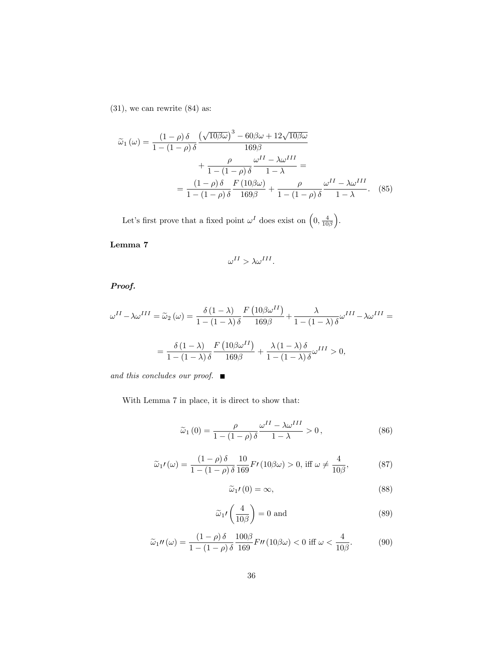$(31)$ , we can rewrite  $(84)$  as:

$$
\tilde{\omega}_1(\omega) = \frac{(1-\rho)\delta}{1-(1-\rho)\delta} \frac{\left(\sqrt{10\beta\omega}\right)^3 - 60\beta\omega + 12\sqrt{10\beta\omega}}{169\beta} \n+ \frac{\rho}{1-(1-\rho)\delta} \frac{\omega^{II} - \lambda\omega^{III}}{1-\lambda} = \n= \frac{(1-\rho)\delta}{1-(1-\rho)\delta} \frac{F(10\beta\omega)}{169\beta} + \frac{\rho}{1-(1-\rho)\delta} \frac{\omega^{II} - \lambda\omega^{III}}{1-\lambda}.
$$
\n(85)

Let's first prove that a fixed point  $\omega^I$  does exist on  $\left(0, \frac{4}{10\beta}\right)$ .

Lemma 7

$$
\omega^{II} > \lambda \omega^{III}.
$$

Proof.

$$
\omega^{II} - \lambda \omega^{III} = \tilde{\omega}_2(\omega) = \frac{\delta (1 - \lambda)}{1 - (1 - \lambda)\delta} \frac{F (10\beta \omega^{II})}{169\beta} + \frac{\lambda}{1 - (1 - \lambda)\delta} \omega^{III} - \lambda \omega^{III} =
$$

$$
= \frac{\delta (1 - \lambda)}{1 - (1 - \lambda)\delta} \frac{F (10\beta \omega^{II})}{169\beta} + \frac{\lambda (1 - \lambda)\delta}{1 - (1 - \lambda)\delta} \omega^{III} > 0,
$$

and this concludes our proof.  $\blacksquare$ 

With Lemma 7 in place, it is direct to show that:

$$
\widetilde{\omega}_1(0) = \frac{\rho}{1 - (1 - \rho)\,\delta} \frac{\omega^{II} - \lambda \omega^{III}}{1 - \lambda} > 0, \tag{86}
$$

$$
\tilde{\omega}_1 I(\omega) = \frac{(1-\rho)\,\delta}{1-(1-\rho)\,\delta} \frac{10}{169} F I(10\beta\omega) > 0, \text{ iff } \omega \neq \frac{4}{10\beta},\tag{87}
$$

$$
\widetilde{\omega}_1 \prime (0) = \infty, \tag{88}
$$

$$
\widetilde{\omega}_1 \prime \left( \frac{4}{10\beta} \right) = 0 \text{ and } \tag{89}
$$

$$
\widetilde{\omega}_1 \prime \prime \left( \omega \right) = \frac{\left( 1 - \rho \right) \delta}{1 - \left( 1 - \rho \right) \delta} \frac{100 \beta}{169} F \prime \prime \left( 10 \beta \omega \right) < 0 \text{ iff } \omega < \frac{4}{10 \beta}. \tag{90}
$$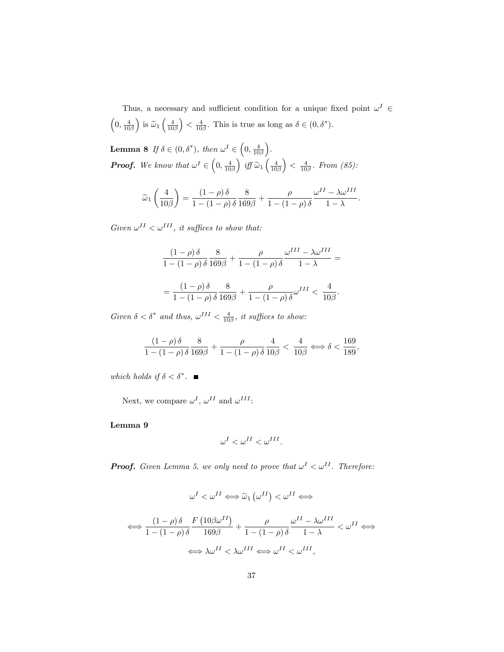Thus, a necessary and sufficient condition for a unique fixed point  $\omega^I \in$  $\left(0, \frac{4}{10\beta}\right)$ ) is  $\widetilde{\omega}_1\left(\frac{4}{10\beta}\right)$  $\left(0, \delta^*\right)$ . This is true as long as  $\delta \in (0, \delta^*)$ .

**Lemma 8** If  $\delta \in (0, \delta^*)$ , then  $\omega^I \in \left(0, \frac{4}{10\beta}\right)$  . **Proof.** We know that  $\omega^I \in \left(0, \frac{4}{10\beta}\right)$ ) iff  $\widetilde{\omega}_1\left(\frac{4}{10\beta}\right)$  $\Big) < \frac{4}{10\beta}$ . From (85):

$$
\widetilde{\omega}_1\left(\frac{4}{10\beta}\right) = \frac{(1-\rho)\,\delta}{1-(1-\rho)\,\delta} \frac{8}{169\beta} + \frac{\rho}{1-(1-\rho)\,\delta} \frac{\omega^{II} - \lambda\omega^{III}}{1-\lambda}.
$$

Given  $\omega^{II} < \omega^{III}$ , it suffices to show that:

$$
\frac{(1-\rho)\,\delta}{1-(1-\rho)\,\delta}\frac{8}{169\beta} + \frac{\rho}{1-(1-\rho)\,\delta}\frac{\omega^{III}-\lambda\omega^{III}}{1-\lambda} =
$$
  
= 
$$
\frac{(1-\rho)\,\delta}{1-(1-\rho)\,\delta}\frac{8}{169\beta} + \frac{\rho}{1-(1-\rho)\,\delta}\omega^{III} < \frac{4}{10\beta}.
$$

Given  $\delta < \delta^*$  and thus,  $\omega^{III} < \frac{4}{10\beta}$ , it suffices to show:

$$
\frac{(1-\rho)\delta}{1-(1-\rho)\delta}\frac{8}{169\beta}+\frac{\rho}{1-(1-\rho)\delta}\frac{4}{10\beta} < \frac{4}{10\beta} \Longleftrightarrow \delta < \frac{169}{189},
$$

which holds if  $\delta < \delta^*$ .

Next, we compare  $\omega^I$ ,  $\omega^{II}$  and  $\omega^{III}$ :

Lemma 9

$$
\omega^I < \omega^{II} < \omega^{III}.
$$

**Proof.** Given Lemma 5, we only need to prove that  $\omega^I < \omega^{II}$ . Therefore:

$$
\omega^{I} < \omega^{II} \Longleftrightarrow \widetilde{\omega}_{1} \left( \omega^{II} \right) < \omega^{II} \Longleftrightarrow
$$
\n
$$
\Longleftrightarrow \frac{(1 - \rho) \delta}{1 - (1 - \rho) \delta} \frac{F(10\beta\omega^{II})}{169\beta} + \frac{\rho}{1 - (1 - \rho) \delta} \frac{\omega^{II} - \lambda\omega^{III}}{1 - \lambda} < \omega^{II} \Longleftrightarrow
$$
\n
$$
\Longleftrightarrow \lambda \omega^{II} < \lambda \omega^{III} \Longleftrightarrow \omega^{II} < \omega^{III},
$$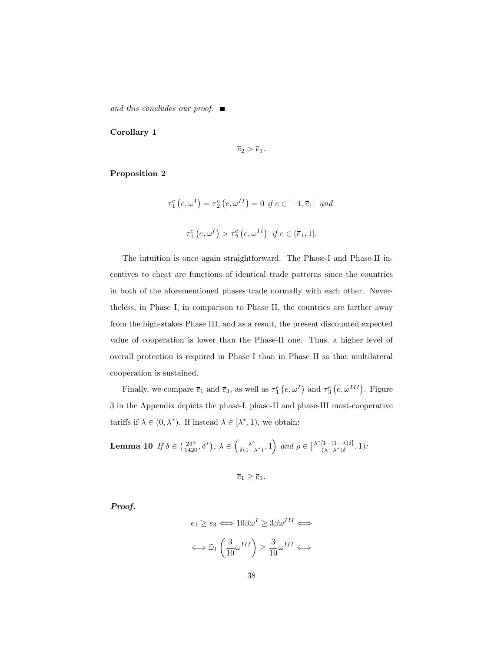and this concludes our proof.  $\blacksquare$ 

Corollary 1

 $\overline{e}_2 > \overline{e}_1.$ 

#### Proposition 2

$$
\tau_1^c(e, \omega^I) = \tau_2^c(e, \omega^{II}) = 0 \text{ if } e \in [-1, \overline{e}_1] \text{ and}
$$
  

$$
\tau_1^c(e, \omega^I) > \tau_2^c(e, \omega^{II}) \text{ if } e \in (\overline{e}_1, 1].
$$

The intuition is once again straightforward. The Phase-I and Phase-II incentives to cheat are functions of identical trade patterns since the countries in both of the aforementioned phases trade normally with each other. Nevertheless, in Phase I, in comparison to Phase II, the countries are farther away from the high-stakes Phase III, and as a result, the present discounted expected value of cooperation is lower than the Phase-II one. Thus, a higher level of overall protection is required in Phase I than in Phase II so that multilateral cooperation is sustained.

Finally, we compare  $\overline{e}_1$  and  $\overline{e}_3$ , as well as  $\tau_1^c$   $(e, \omega^I)$  and  $\tau_3^c$   $(e, \omega^{III})$ . Figure 3 in the Appendix depicts the phase-I, phase-II and phase-III most-cooperative tariffs if  $\lambda \in (0, \lambda^*)$ . If instead  $\lambda \in [\lambda^*, 1)$ , we obtain:

**Lemma 10** If 
$$
\delta \in \left(\frac{237}{1420}, \delta^*\right), \lambda \in \left(\frac{\lambda^*}{\delta(1-\lambda^*)}, 1\right)
$$
 and  $\rho \in \left[\frac{\lambda^*[1-(1-\lambda)\delta]}{(\lambda-\lambda^*)\delta}, 1\right)$ :

$$
\overline{e}_1 \ge \overline{e}_3.
$$

Proof.

$$
\overline{e}_1 \ge \overline{e}_3 \Longleftrightarrow 10\beta\omega^I \ge 3\beta\omega^{III} \Longleftrightarrow
$$

$$
\Longleftrightarrow \widetilde{\omega}_1 \left(\frac{3}{10}\omega^{III}\right) \ge \frac{3}{10}\omega^{III} \Longleftrightarrow
$$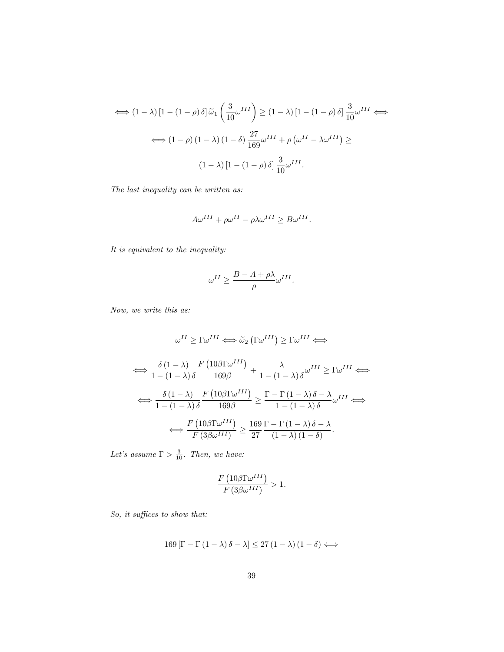$$
\iff (1 - \lambda) [1 - (1 - \rho) \delta] \widetilde{\omega}_1 \left( \frac{3}{10} \omega^{III} \right) \ge (1 - \lambda) [1 - (1 - \rho) \delta] \frac{3}{10} \omega^{III} \iff
$$

$$
\iff (1 - \rho) (1 - \lambda) (1 - \delta) \frac{27}{169} \omega^{III} + \rho \left( \omega^{II} - \lambda \omega^{III} \right) \ge
$$

$$
(1 - \lambda) [1 - (1 - \rho) \delta] \frac{3}{10} \omega^{III}.
$$

The last inequality can be written as:

$$
A\omega^{III} + \rho\omega^{II} - \rho\lambda\omega^{III} \ge B\omega^{III}.
$$

It is equivalent to the inequality:

$$
\omega^{II} \ge \frac{B - A + \rho \lambda}{\rho} \omega^{III}.
$$

Now, we write this as:

$$
\omega^{II} \ge \Gamma \omega^{III} \Longleftrightarrow \tilde{\omega}_{2} (\Gamma \omega^{III}) \ge \Gamma \omega^{III} \Longleftrightarrow
$$
  

$$
\Longleftrightarrow \frac{\delta (1 - \lambda)}{1 - (1 - \lambda) \delta} \frac{F (10 \beta \Gamma \omega^{III})}{169 \beta} + \frac{\lambda}{1 - (1 - \lambda) \delta} \omega^{III} \ge \Gamma \omega^{III} \Longleftrightarrow
$$
  

$$
\Longleftrightarrow \frac{\delta (1 - \lambda)}{1 - (1 - \lambda) \delta} \frac{F (10 \beta \Gamma \omega^{III})}{169 \beta} \ge \frac{\Gamma - \Gamma (1 - \lambda) \delta - \lambda}{1 - (1 - \lambda) \delta} \omega^{III} \Longleftrightarrow
$$
  

$$
\Longleftrightarrow \frac{F (10 \beta \Gamma \omega^{III})}{F (3 \beta \omega^{III})} \ge \frac{169}{27} \frac{\Gamma - \Gamma (1 - \lambda) \delta - \lambda}{(1 - \lambda) (1 - \delta)}.
$$

Let's assume  $\Gamma > \frac{3}{10}$ . Then, we have:

$$
\frac{F\left(10\beta\Gamma\omega^{III}\right)}{F\left(3\beta\omega^{III}\right)}>1.
$$

So, it suffices to show that:

$$
169\left[\Gamma - \Gamma\left(1 - \lambda\right)\delta - \lambda\right] \leq 27\left(1 - \lambda\right)\left(1 - \delta\right) \Longleftrightarrow
$$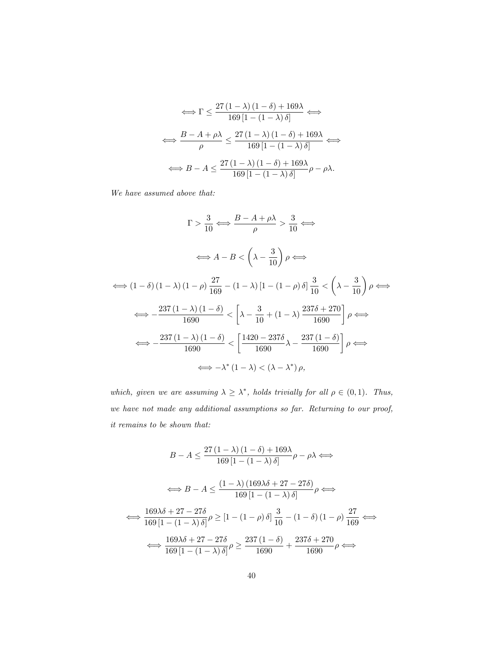$$
\iff \Gamma \le \frac{27 (1 - \lambda) (1 - \delta) + 169\lambda}{169 [1 - (1 - \lambda)\delta]} \iff
$$

$$
\iff \frac{B - A + \rho\lambda}{\rho} \le \frac{27 (1 - \lambda) (1 - \delta) + 169\lambda}{169 [1 - (1 - \lambda)\delta]} \iff
$$

$$
\iff B - A \le \frac{27 (1 - \lambda) (1 - \delta) + 169\lambda}{169 [1 - (1 - \lambda)\delta]} \rho - \rho\lambda.
$$

We have assumed above that:

$$
\Gamma > \frac{3}{10} \Longleftrightarrow \frac{B - A + \rho \lambda}{\rho} > \frac{3}{10} \Longleftrightarrow
$$
  

$$
\Longleftrightarrow A - B < \left(\lambda - \frac{3}{10}\right) \rho \Longleftrightarrow
$$
  

$$
\Longleftrightarrow (1 - \delta) (1 - \lambda) (1 - \rho) \frac{27}{169} - (1 - \lambda) [1 - (1 - \rho) \delta] \frac{3}{10} < \left(\lambda - \frac{3}{10}\right) \rho \Longleftrightarrow
$$
  

$$
\Longleftrightarrow -\frac{237 (1 - \lambda) (1 - \delta)}{1690} < \left[\lambda - \frac{3}{10} + (1 - \lambda) \frac{237\delta + 270}{1690}\right] \rho \Longleftrightarrow
$$
  

$$
\Longleftrightarrow -\frac{237 (1 - \lambda) (1 - \delta)}{1690} < \left[\frac{1420 - 237\delta}{1690} \lambda - \frac{237 (1 - \delta)}{1690}\right] \rho \Longleftrightarrow
$$
  

$$
\Longleftrightarrow -\lambda^* (1 - \lambda) < (\lambda - \lambda^*) \rho,
$$

which, given we are assuming  $\lambda \geq \lambda^*$ , holds trivially for all  $\rho \in (0,1)$ . Thus, we have not made any additional assumptions so far. Returning to our proof, it remains to be shown that:

$$
B - A \le \frac{27(1 - \lambda)(1 - \delta) + 169\lambda}{169[1 - (1 - \lambda)\delta]} \rho - \rho\lambda \Longleftrightarrow
$$
  

$$
\Longleftrightarrow B - A \le \frac{(1 - \lambda)(169\lambda\delta + 27 - 27\delta)}{169[1 - (1 - \lambda)\delta]} \rho \Longleftrightarrow
$$
  

$$
\Longleftrightarrow \frac{169\lambda\delta + 27 - 27\delta}{169[1 - (1 - \lambda)\delta]} \rho \ge [1 - (1 - \rho)\delta] \frac{3}{10} - (1 - \delta)(1 - \rho) \frac{27}{169} \Longleftrightarrow
$$
  

$$
\Longleftrightarrow \frac{169\lambda\delta + 27 - 27\delta}{169[1 - (1 - \lambda)\delta]} \rho \ge \frac{237(1 - \delta)}{1690} + \frac{237\delta + 270}{1690} \rho \Longleftrightarrow
$$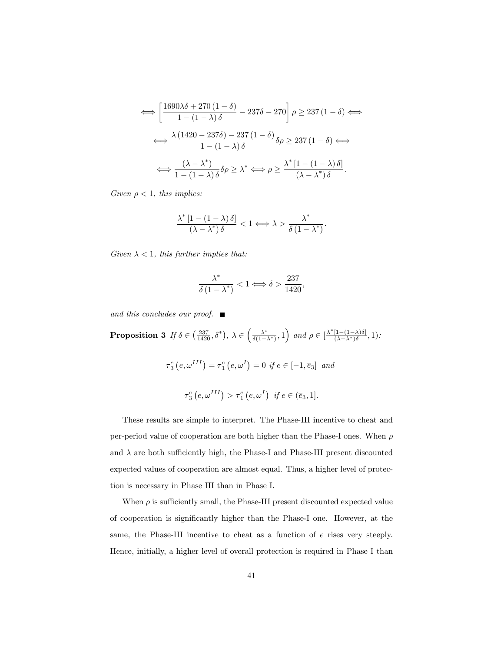$$
\iff \left[\frac{1690\lambda\delta + 270\left(1 - \delta\right)}{1 - \left(1 - \lambda\right)\delta} - 237\delta - 270\right]\rho \ge 237\left(1 - \delta\right) \iff
$$
\n
$$
\iff \frac{\lambda\left(1420 - 237\delta\right) - 237\left(1 - \delta\right)}{1 - \left(1 - \lambda\right)\delta}\delta\rho \ge 237\left(1 - \delta\right) \iff
$$
\n
$$
\iff \frac{(\lambda - \lambda^*)}{1 - \left(1 - \lambda\right)\delta}\delta\rho \ge \lambda^* \iff \rho \ge \frac{\lambda^*\left[1 - \left(1 - \lambda\right)\delta\right]}{(\lambda - \lambda^*)\delta}.
$$

Given  $\rho < 1$ , this implies:

$$
\frac{\lambda^* \left[1 - \left(1 - \lambda\right) \delta\right]}{(\lambda - \lambda^*) \delta} < 1 \Longleftrightarrow \lambda > \frac{\lambda^*}{\delta \left(1 - \lambda^*\right)}.
$$

Given  $\lambda < 1$ , this further implies that:

$$
\frac{\lambda^*}{\delta(1-\lambda^*)} < 1 \Longleftrightarrow \delta > \frac{237}{1420},
$$

and this concludes our proof.  $\blacksquare$ 

**Proposition 3** If  $\delta \in \left(\frac{237}{1420}, \delta^*\right)$ ,  $\lambda \in \left(\frac{\lambda^*}{\delta(1-\lambda^*)}, 1\right)$  and  $\rho \in \left[\frac{\lambda^*[1-(1-\lambda)\delta]}{(\lambda-\lambda^*)\delta}\right]$  $\frac{[1-(1-\lambda)\delta]}{(\lambda-\lambda^*)\delta}, 1)$ :  $\tau_3^c\left(e, \omega^{III}\right) = \tau_1^c\left(e, \omega^I\right) = 0$  if  $e \in [-1, \overline{e}_3]$  and  $\tau_3^c\left(e, \omega^{III}\right) > \tau_1^c\left(e, \omega^I\right) \text{ if } e \in (\overline{e}_3, 1].$ 

These results are simple to interpret. The Phase-III incentive to cheat and per-period value of cooperation are both higher than the Phase-I ones. When  $\rho$ and  $\lambda$  are both sufficiently high, the Phase-I and Phase-III present discounted expected values of cooperation are almost equal. Thus, a higher level of protection is necessary in Phase III than in Phase I.

When  $\rho$  is sufficiently small, the Phase-III present discounted expected value of cooperation is signiÖcantly higher than the Phase-I one. However, at the same, the Phase-III incentive to cheat as a function of e rises very steeply. Hence, initially, a higher level of overall protection is required in Phase I than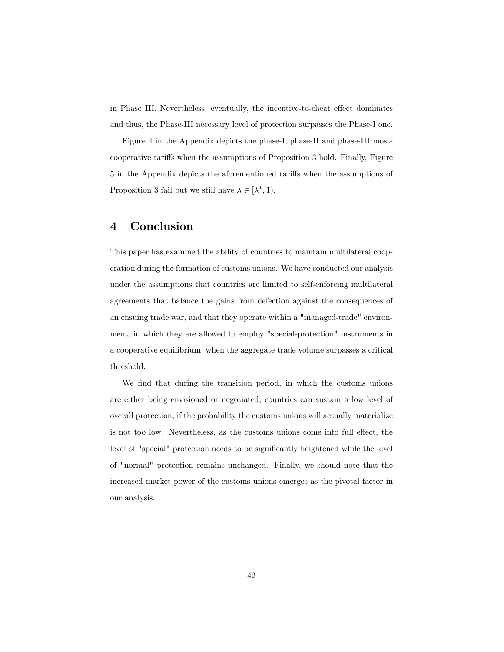in Phase III. Nevertheless, eventually, the incentive-to-cheat effect dominates and thus, the Phase-III necessary level of protection surpasses the Phase-I one.

Figure 4 in the Appendix depicts the phase-I, phase-II and phase-III mostcooperative tariffs when the assumptions of Proposition 3 hold. Finally, Figure 5 in the Appendix depicts the aforementioned tariffs when the assumptions of Proposition 3 fail but we still have  $\lambda \in [\lambda^*, 1)$ .

## 4 Conclusion

This paper has examined the ability of countries to maintain multilateral cooperation during the formation of customs unions. We have conducted our analysis under the assumptions that countries are limited to self-enforcing multilateral agreements that balance the gains from defection against the consequences of an ensuing trade war, and that they operate within a "managed-trade" environment, in which they are allowed to employ "special-protection" instruments in a cooperative equilibrium, when the aggregate trade volume surpasses a critical threshold.

We find that during the transition period, in which the customs unions are either being envisioned or negotiated, countries can sustain a low level of overall protection, if the probability the customs unions will actually materialize is not too low. Nevertheless, as the customs unions come into full effect, the level of "special" protection needs to be significantly heightened while the level of "normal" protection remains unchanged. Finally, we should note that the increased market power of the customs unions emerges as the pivotal factor in our analysis.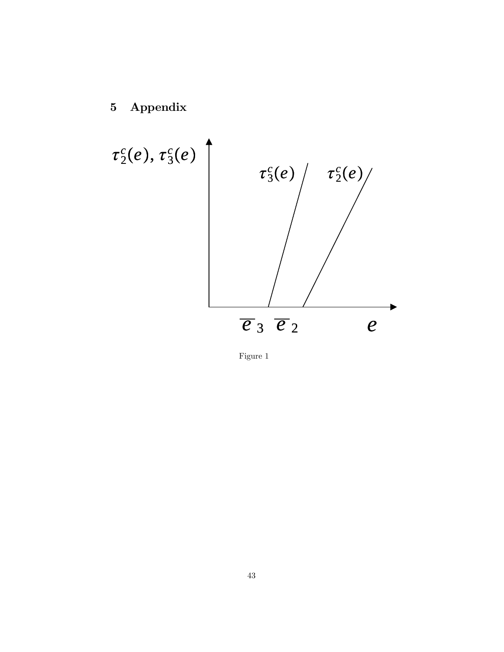5 Appendix



Figure 1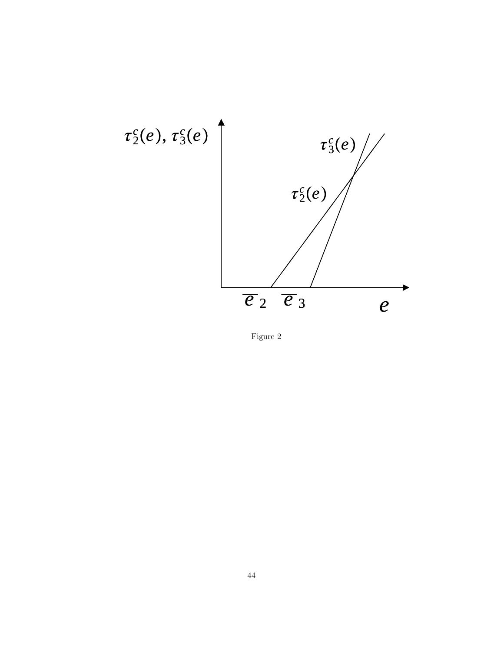

Figure 2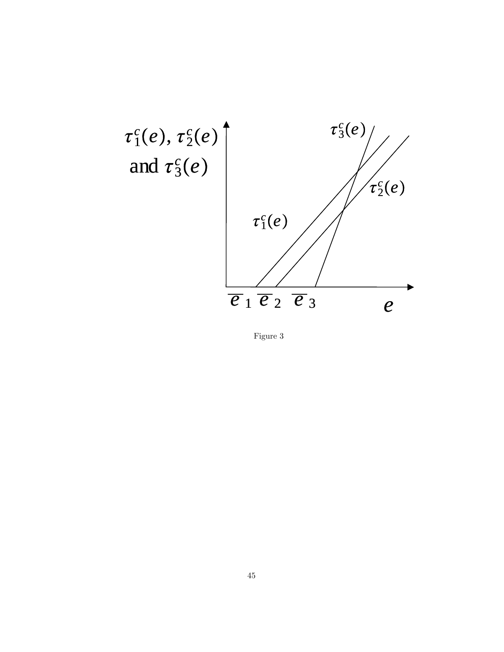

Figure 3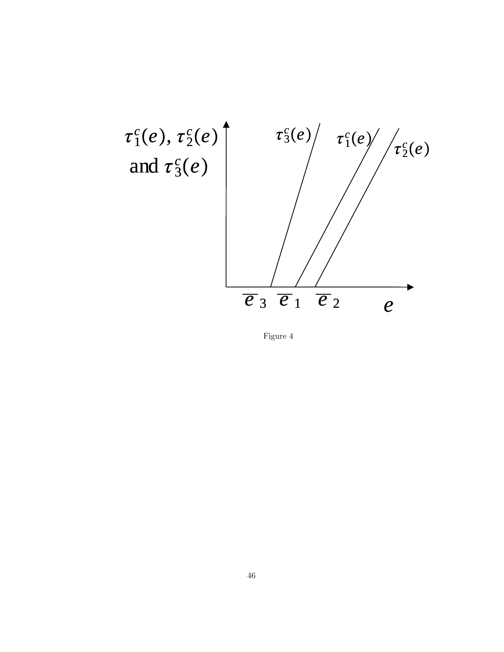

Figure 4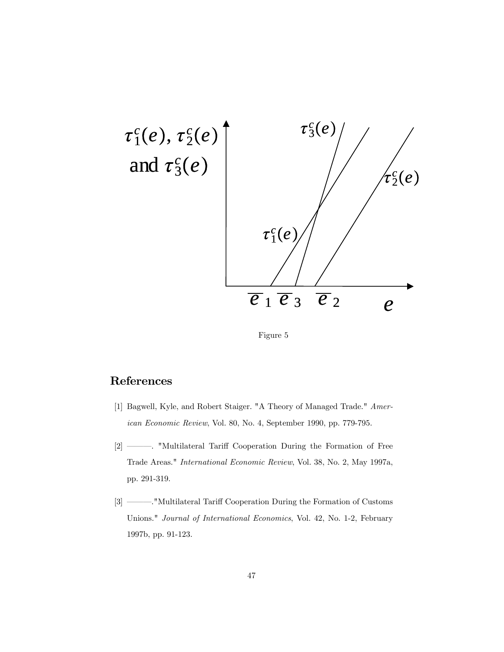

Figure 5

## References

- [1] Bagwell, Kyle, and Robert Staiger. "A Theory of Managed Trade." American Economic Review, Vol. 80, No. 4, September 1990, pp. 779-795.
- [2] ó ó ó . "Multilateral Tari§ Cooperation During the Formation of Free Trade Areas." International Economic Review, Vol. 38, No. 2, May 1997a, pp. 291-319.
- [3] ó ó ó ."Multilateral Tari§ Cooperation During the Formation of Customs Unions." Journal of International Economics, Vol. 42, No. 1-2, February 1997b, pp. 91-123.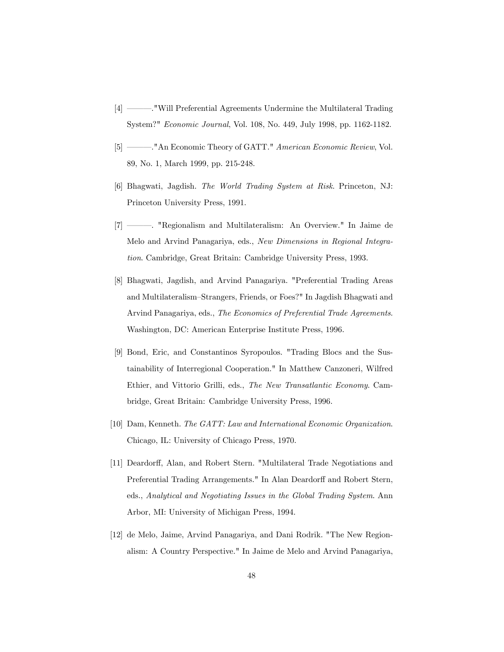- [4] **Solution** Will Preferential Agreements Undermine the Multilateral Trading System?" Economic Journal, Vol. 108, No. 449, July 1998, pp. 1162-1182.
- [5] ó ó ó ."An Economic Theory of GATT." American Economic Review, Vol. 89, No. 1, March 1999, pp. 215-248.
- [6] Bhagwati, Jagdish. The World Trading System at Risk. Princeton, NJ: Princeton University Press, 1991.
- [7] —— regionalism and Multilateralism: An Overview." In Jaime de Melo and Arvind Panagariya, eds., New Dimensions in Regional Integration. Cambridge, Great Britain: Cambridge University Press, 1993.
- [8] Bhagwati, Jagdish, and Arvind Panagariya. "Preferential Trading Areas and Multilateralism–Strangers, Friends, or Foes?" In Jagdish Bhagwati and Arvind Panagariya, eds., The Economics of Preferential Trade Agreements. Washington, DC: American Enterprise Institute Press, 1996.
- [9] Bond, Eric, and Constantinos Syropoulos. "Trading Blocs and the Sustainability of Interregional Cooperation." In Matthew Canzoneri, Wilfred Ethier, and Vittorio Grilli, eds., The New Transatlantic Economy. Cambridge, Great Britain: Cambridge University Press, 1996.
- [10] Dam, Kenneth. The GATT: Law and International Economic Organization. Chicago, IL: University of Chicago Press, 1970.
- [11] Deardorff, Alan, and Robert Stern. "Multilateral Trade Negotiations and Preferential Trading Arrangements." In Alan Deardorff and Robert Stern, eds., Analytical and Negotiating Issues in the Global Trading System. Ann Arbor, MI: University of Michigan Press, 1994.
- [12] de Melo, Jaime, Arvind Panagariya, and Dani Rodrik. "The New Regionalism: A Country Perspective." In Jaime de Melo and Arvind Panagariya,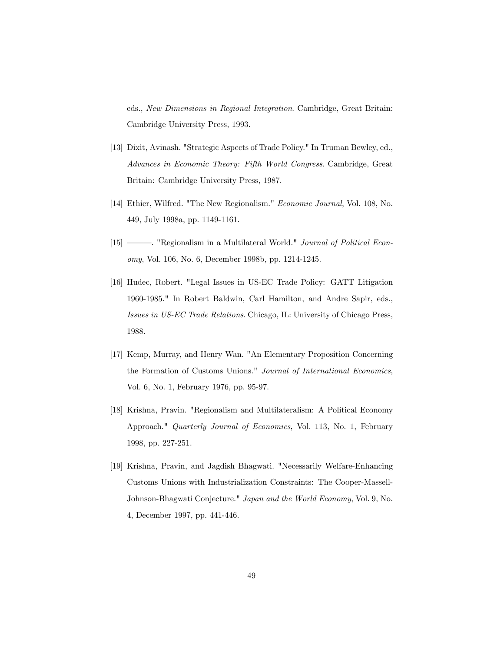eds., New Dimensions in Regional Integration. Cambridge, Great Britain: Cambridge University Press, 1993.

- [13] Dixit, Avinash. "Strategic Aspects of Trade Policy." In Truman Bewley, ed., Advances in Economic Theory: Fifth World Congress. Cambridge, Great Britain: Cambridge University Press, 1987.
- [14] Ethier, Wilfred. "The New Regionalism." Economic Journal, Vol. 108, No. 449, July 1998a, pp. 1149-1161.
- [15] Regionalism in a Multilateral World." Journal of Political Economy, Vol. 106, No. 6, December 1998b, pp. 1214-1245.
- [16] Hudec, Robert. "Legal Issues in US-EC Trade Policy: GATT Litigation 1960-1985." In Robert Baldwin, Carl Hamilton, and Andre Sapir, eds., Issues in US-EC Trade Relations. Chicago, IL: University of Chicago Press, 1988.
- [17] Kemp, Murray, and Henry Wan. "An Elementary Proposition Concerning the Formation of Customs Unions." Journal of International Economics, Vol. 6, No. 1, February 1976, pp. 95-97.
- [18] Krishna, Pravin. "Regionalism and Multilateralism: A Political Economy Approach." Quarterly Journal of Economics, Vol. 113, No. 1, February 1998, pp. 227-251.
- [19] Krishna, Pravin, and Jagdish Bhagwati. "Necessarily Welfare-Enhancing Customs Unions with Industrialization Constraints: The Cooper-Massell-Johnson-Bhagwati Conjecture." Japan and the World Economy, Vol. 9, No. 4, December 1997, pp. 441-446.